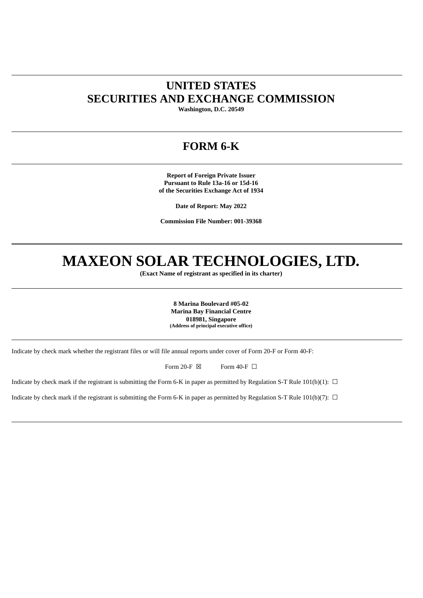# **UNITED STATES SECURITIES AND EXCHANGE COMMISSION**

**Washington, D.C. 20549**

## **FORM 6-K**

**Report of Foreign Private Issuer Pursuant to Rule 13a-16 or 15d-16 of the Securities Exchange Act of 1934**

**Date of Report: May 2022**

**Commission File Number: 001-39368**

# **MAXEON SOLAR TECHNOLOGIES, LTD.**

**(Exact Name of registrant as specified in its charter)**

**8 Marina Boulevard #05-02 Marina Bay Financial Centre 018981, Singapore (Address of principal executive office)**

Indicate by check mark whether the registrant files or will file annual reports under cover of Form 20-F or Form 40-F:

Form 20-F  $\boxtimes$  Form 40-F  $\Box$ 

Indicate by check mark if the registrant is submitting the Form 6-K in paper as permitted by Regulation S-T Rule 101(b)(1):  $\Box$ 

Indicate by check mark if the registrant is submitting the Form 6-K in paper as permitted by Regulation S-T Rule 101(b)(7):  $\Box$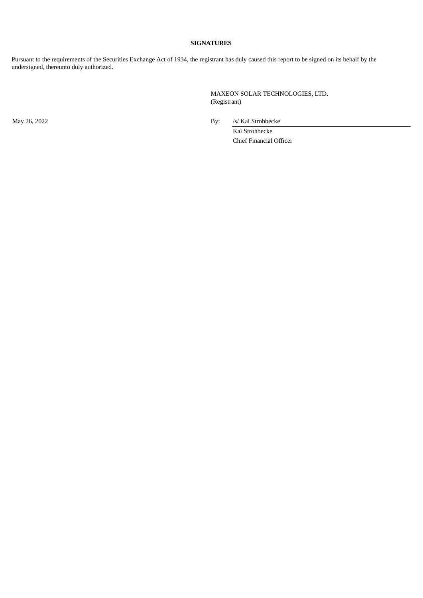#### **SIGNATURES**

Pursuant to the requirements of the Securities Exchange Act of 1934, the registrant has duly caused this report to be signed on its behalf by the undersigned, thereunto duly authorized.

> MAXEON SOLAR TECHNOLOGIES, LTD. (Registrant)

May 26, 2022 By: /s/ Kai Strohbecke

Kai Strohbecke Chief Financial Officer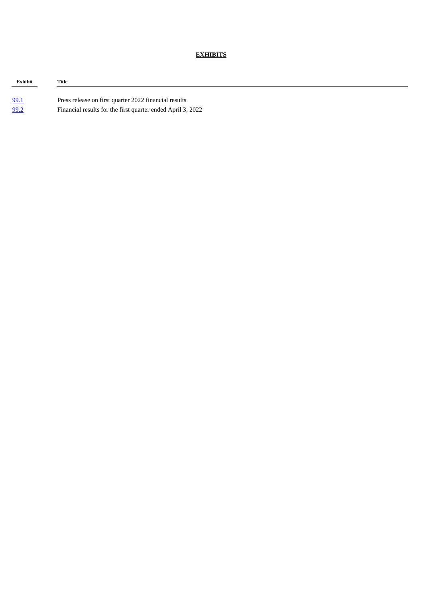#### **EXHIBITS**

| Exhibit | Title                                                       |
|---------|-------------------------------------------------------------|
|         |                                                             |
| 99.1    | Press release on first quarter 2022 financial results       |
| 99.2    | Financial results for the first quarter ended April 3, 2022 |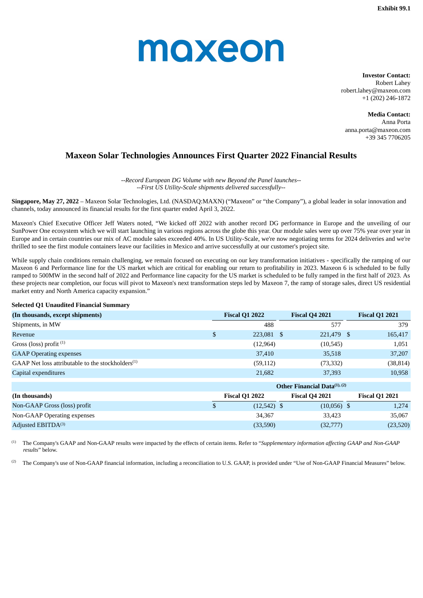# <span id="page-3-0"></span>moxeon

**Investor Contact:** Robert Lahey robert.lahey@maxeon.com +1 (202) 246-1872

**Media Contact:** Anna Porta anna.porta@maxeon.com +39 345 7706205

### **Maxeon Solar Technologies Announces First Quarter 2022 Financial Results**

*--Record European DG Volume with new Beyond the Panel launches-- --First US Utility-Scale shipments delivered successfully--*

**Singapore, May 27, 2022** – Maxeon Solar Technologies, Ltd. (NASDAQ:MAXN) ("Maxeon" or "the Company"), a global leader in solar innovation and channels, today announced its financial results for the first quarter ended April 3, 2022.

Maxeon's Chief Executive Officer Jeff Waters noted, "We kicked off 2022 with another record DG performance in Europe and the unveiling of our SunPower One ecosystem which we will start launching in various regions across the globe this year. Our module sales were up over 75% year over year in Europe and in certain countries our mix of AC module sales exceeded 40%. In US Utility-Scale, we're now negotiating terms for 2024 deliveries and we're thrilled to see the first module containers leave our facilities in Mexico and arrive successfully at our customer's project site.

While supply chain conditions remain challenging, we remain focused on executing on our key transformation initiatives - specifically the ramping of our Maxeon 6 and Performance line for the US market which are critical for enabling our return to profitability in 2023. Maxeon 6 is scheduled to be fully ramped to 500MW in the second half of 2022 and Performance line capacity for the US market is scheduled to be fully ramped in the first half of 2023. As these projects near completion, our focus will pivot to Maxeon's next transformation steps led by Maxeon 7, the ramp of storage sales, direct US residential market entry and North America capacity expansion."

#### **Selected Q1 Unaudited Financial Summary**

| (In thousands, except shipments)                              | <b>Fiscal Q1 2021</b> |                                          |                       |
|---------------------------------------------------------------|-----------------------|------------------------------------------|-----------------------|
| Shipments, in MW                                              | 488                   | 577                                      | 379                   |
| Revenue                                                       | \$<br>223,081 \$      | 221,479 \$                               | 165,417               |
| Gross (loss) profit $(1)$                                     | (12,964)              | (10, 545)                                | 1,051                 |
| <b>GAAP Operating expenses</b>                                | 37,410                | 35,518                                   | 37,207                |
| GAAP Net loss attributable to the stockholders <sup>(1)</sup> | (59, 112)             | (73, 332)                                | (38, 814)             |
| Capital expenditures                                          | 21,682                | 37,393                                   | 10,958                |
|                                                               |                       | Other Financial Data <sup>(1), (2)</sup> |                       |
| (In thousands)                                                | <b>Fiscal Q1 2022</b> | <b>Fiscal Q4 2021</b>                    | <b>Fiscal Q1 2021</b> |
| Non-GAAP Gross (loss) profit                                  | \$<br>$(12,542)$ \$   | $(10,056)$ \$                            | 1,274                 |
| Non-GAAP Operating expenses                                   | 34,367                | 33,423                                   | 35,067                |
| Adjusted EBITDA(3)                                            | (33,590)              | (32,777)                                 | (23,520)              |

The Company's GAAP and Non-GAAP results were impacted by the effects of certain items. Refer to "*Supplementary information affecting GAAP and Non-GAAP results*" below. (1)

The Company's use of Non-GAAP financial information, including a reconciliation to U.S. GAAP, is provided under "Use of Non-GAAP Financial Measures" below. (2)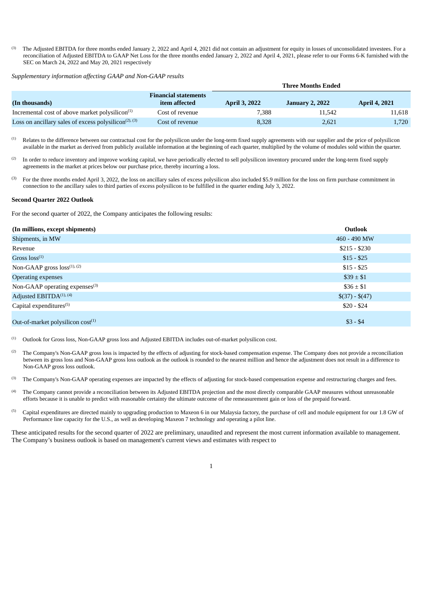The Adjusted EBITDA for three months ended January 2, 2022 and April 4, 2021 did not contain an adjustment for equity in losses of unconsolidated investees. For a reconciliation of Adjusted EBITDA to GAAP Net Loss for the three months ended January 2, 2022 and April 4, 2021, please refer to our Forms 6-K furnished with the SEC on March 24, 2022 and May 20, 2021 respectively (3)

*Supplementary information affecting GAAP and Non-GAAP results*

|                                                                                   |                                              | <b>Three Months Ended</b> |                        |                      |  |  |
|-----------------------------------------------------------------------------------|----------------------------------------------|---------------------------|------------------------|----------------------|--|--|
| (In thousands)                                                                    | <b>Financial statements</b><br>item affected | <b>April 3, 2022</b>      | <b>January 2, 2022</b> | <b>April 4, 2021</b> |  |  |
| Incremental cost of above market polysilicon $(1)$                                | Cost of revenue                              | 7.388                     | 11.542                 | 11,618               |  |  |
| Loss on ancillary sales of excess polysilicon <sup><math>(2)</math></sup> , $(3)$ | Cost of revenue                              | 8,328                     | 2,621                  | 1,720                |  |  |

Relates to the difference between our contractual cost for the polysilicon under the long-term fixed supply agreements with our supplier and the price of polysilicon available in the market as derived from publicly available information at the beginning of each quarter, multiplied by the volume of modules sold within the quarter.  $(1)$ 

In order to reduce inventory and improve working capital, we have periodically elected to sell polysilicon inventory procured under the long-term fixed supply agreements in the market at prices below our purchase price, thereby incurring a loss. (2)

For the three months ended April 3, 2022, the loss on ancillary sales of excess polysilicon also included \$5.9 million for the loss on firm purchase commitment in connection to the ancillary sales to third parties of excess polysilicon to be fulfilled in the quarter ending July 3, 2022. (3)

#### **Second Quarter 2022 Outlook**

For the second quarter of 2022, the Company anticipates the following results:

| (In millions, except shipments)            | <b>Outlook</b>  |
|--------------------------------------------|-----------------|
| Shipments, in MW                           | 460 - 490 MW    |
| Revenue                                    | $$215 - $230$   |
| Gross $loss^{(1)}$                         | $$15 - $25$     |
| Non-GAAP gross $loss^{(1), (2)}$           | $$15 - $25$     |
| <b>Operating expenses</b>                  | $\$39 \pm \$1$  |
| Non-GAAP operating expenses <sup>(3)</sup> | $\$36 \pm \$1$  |
| Adjusted EBITDA <sup>(1), (4)</sup>        | $$(37) - $(47)$ |
| Capital expenditures <sup>(5)</sup>        | $$20 - $24$     |
| Out-of-market polysilicon $cost^{(1)}$     | $$3 - $4$       |

Outlook for Gross loss, Non-GAAP gross loss and Adjusted EBITDA includes out-of-market polysilicon cost. (1)

The Company's Non-GAAP gross loss is impacted by the effects of adjusting for stock-based compensation expense. The Company does not provide a reconciliation between its gross loss and Non-GAAP gross loss outlook as the outlook is rounded to the nearest million and hence the adjustment does not result in a difference to Non-GAAP gross loss outlook. (2)

The Company's Non-GAAP operating expenses are impacted by the effects of adjusting for stock-based compensation expense and restructuring charges and fees. (3)

- The Company cannot provide a reconciliation between its Adjusted EBITDA projection and the most directly comparable GAAP measures without unreasonable efforts because it is unable to predict with reasonable certainty the ultimate outcome of the remeasurement gain or loss of the prepaid forward. (4)
- Capital expenditures are directed mainly to upgrading production to Maxeon 6 in our Malaysia factory, the purchase of cell and module equipment for our 1.8 GW of Performance line capacity for the U.S., as well as developing Maxeon 7 technology and operating a pilot line. (5)

These anticipated results for the second quarter of 2022 are preliminary, unaudited and represent the most current information available to management. The Company's business outlook is based on management's current views and estimates with respect to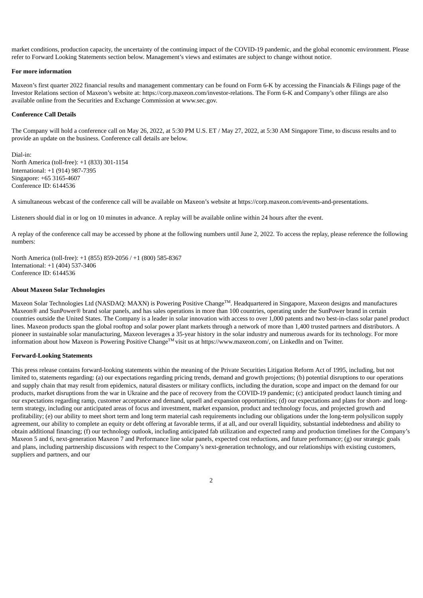market conditions, production capacity, the uncertainty of the continuing impact of the COVID-19 pandemic, and the global economic environment. Please refer to Forward Looking Statements section below. Management's views and estimates are subject to change without notice.

#### **For more information**

Maxeon's first quarter 2022 financial results and management commentary can be found on Form 6-K by accessing the Financials & Filings page of the Investor Relations section of Maxeon's website at: https://corp.maxeon.com/investor-relations. The Form 6-K and Company's other filings are also available online from the Securities and Exchange Commission at www.sec.gov.

#### **Conference Call Details**

The Company will hold a conference call on May 26, 2022, at 5:30 PM U.S. ET / May 27, 2022, at 5:30 AM Singapore Time, to discuss results and to provide an update on the business. Conference call details are below.

Dial-in: North America (toll-free): +1 (833) 301-1154 International: +1 (914) 987-7395 Singapore: +65 3165-4607 Conference ID: 6144536

A simultaneous webcast of the conference call will be available on Maxeon's website at https://corp.maxeon.com/events-and-presentations.

Listeners should dial in or log on 10 minutes in advance. A replay will be available online within 24 hours after the event.

A replay of the conference call may be accessed by phone at the following numbers until June 2, 2022. To access the replay, please reference the following numbers:

North America (toll-free): +1 (855) 859-2056 / +1 (800) 585-8367 International: +1 (404) 537-3406 Conference ID: 6144536

#### **About Maxeon Solar Technologies**

Maxeon Solar Technologies Ltd (NASDAQ: MAXN) is Powering Positive Change<sup>TM</sup>. Headquartered in Singapore, Maxeon designs and manufactures Maxeon® and SunPower® brand solar panels, and has sales operations in more than 100 countries, operating under the SunPower brand in certain countries outside the United States. The Company is a leader in solar innovation with access to over 1,000 patents and two best-in-class solar panel product lines. Maxeon products span the global rooftop and solar power plant markets through a network of more than 1,400 trusted partners and distributors. A pioneer in sustainable solar manufacturing, Maxeon leverages a 35-year history in the solar industry and numerous awards for its technology. For more information about how Maxeon is Powering Positive Change<sup> $TM$ </sup> visit us at https://www.maxeon.com/, on LinkedIn and on Twitter.

#### **Forward-Looking Statements**

This press release contains forward-looking statements within the meaning of the Private Securities Litigation Reform Act of 1995, including, but not limited to, statements regarding: (a) our expectations regarding pricing trends, demand and growth projections; (b) potential disruptions to our operations and supply chain that may result from epidemics, natural disasters or military conflicts, including the duration, scope and impact on the demand for our products, market disruptions from the war in Ukraine and the pace of recovery from the COVID-19 pandemic; (c) anticipated product launch timing and our expectations regarding ramp, customer acceptance and demand, upsell and expansion opportunities; (d) our expectations and plans for short- and longterm strategy, including our anticipated areas of focus and investment, market expansion, product and technology focus, and projected growth and profitability; (e) our ability to meet short term and long term material cash requirements including our obligations under the long-term polysilicon supply agreement, our ability to complete an equity or debt offering at favorable terms, if at all, and our overall liquidity, substantial indebtedness and ability to obtain additional financing; (f) our technology outlook, including anticipated fab utilization and expected ramp and production timelines for the Company's Maxeon 5 and 6, next-generation Maxeon 7 and Performance line solar panels, expected cost reductions, and future performance; (g) our strategic goals and plans, including partnership discussions with respect to the Company's next-generation technology, and our relationships with existing customers, suppliers and partners, and our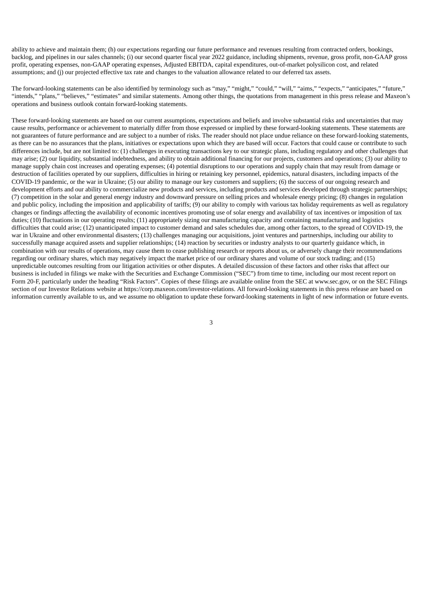ability to achieve and maintain them; (h) our expectations regarding our future performance and revenues resulting from contracted orders, bookings, backlog, and pipelines in our sales channels; (i) our second quarter fiscal year 2022 guidance, including shipments, revenue, gross profit, non-GAAP gross profit, operating expenses, non-GAAP operating expenses, Adjusted EBITDA, capital expenditures, out-of-market polysilicon cost, and related assumptions; and (j) our projected effective tax rate and changes to the valuation allowance related to our deferred tax assets.

The forward-looking statements can be also identified by terminology such as "may," "might," "could," "will," "aims," "expects," "anticipates," "future," "intends," "plans," "believes," "estimates" and similar statements. Among other things, the quotations from management in this press release and Maxeon's operations and business outlook contain forward-looking statements.

These forward-looking statements are based on our current assumptions, expectations and beliefs and involve substantial risks and uncertainties that may cause results, performance or achievement to materially differ from those expressed or implied by these forward-looking statements. These statements are not guarantees of future performance and are subject to a number of risks. The reader should not place undue reliance on these forward-looking statements, as there can be no assurances that the plans, initiatives or expectations upon which they are based will occur. Factors that could cause or contribute to such differences include, but are not limited to: (1) challenges in executing transactions key to our strategic plans, including regulatory and other challenges that may arise; (2) our liquidity, substantial indebtedness, and ability to obtain additional financing for our projects, customers and operations; (3) our ability to manage supply chain cost increases and operating expenses; (4) potential disruptions to our operations and supply chain that may result from damage or destruction of facilities operated by our suppliers, difficulties in hiring or retaining key personnel, epidemics, natural disasters, including impacts of the COVID-19 pandemic, or the war in Ukraine; (5) our ability to manage our key customers and suppliers; (6) the success of our ongoing research and development efforts and our ability to commercialize new products and services, including products and services developed through strategic partnerships; (7) competition in the solar and general energy industry and downward pressure on selling prices and wholesale energy pricing; (8) changes in regulation and public policy, including the imposition and applicability of tariffs; (9) our ability to comply with various tax holiday requirements as well as regulatory changes or findings affecting the availability of economic incentives promoting use of solar energy and availability of tax incentives or imposition of tax duties; (10) fluctuations in our operating results; (11) appropriately sizing our manufacturing capacity and containing manufacturing and logistics difficulties that could arise; (12) unanticipated impact to customer demand and sales schedules due, among other factors, to the spread of COVID-19, the war in Ukraine and other environmental disasters; (13) challenges managing our acquisitions, joint ventures and partnerships, including our ability to successfully manage acquired assets and supplier relationships; (14) reaction by securities or industry analysts to our quarterly guidance which, in combination with our results of operations, may cause them to cease publishing research or reports about us, or adversely change their recommendations regarding our ordinary shares, which may negatively impact the market price of our ordinary shares and volume of our stock trading; and (15) unpredictable outcomes resulting from our litigation activities or other disputes. A detailed discussion of these factors and other risks that affect our business is included in filings we make with the Securities and Exchange Commission ("SEC") from time to time, including our most recent report on Form 20-F, particularly under the heading "Risk Factors". Copies of these filings are available online from the SEC at www.sec.gov, or on the SEC Filings section of our Investor Relations website at https://corp.maxeon.com/investor-relations. All forward-looking statements in this press release are based on information currently available to us, and we assume no obligation to update these forward-looking statements in light of new information or future events.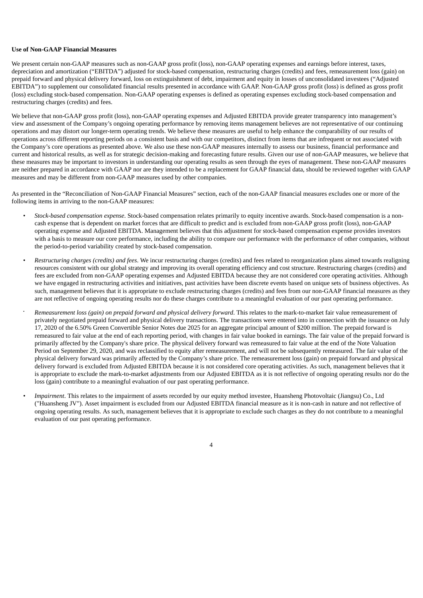#### **Use of Non-GAAP Financial Measures**

We present certain non-GAAP measures such as non-GAAP gross profit (loss), non-GAAP operating expenses and earnings before interest, taxes, depreciation and amortization ("EBITDA") adjusted for stock-based compensation, restructuring charges (credits) and fees, remeasurement loss (gain) on prepaid forward and physical delivery forward, loss on extinguishment of debt, impairment and equity in losses of unconsolidated investees ("Adjusted EBITDA") to supplement our consolidated financial results presented in accordance with GAAP. Non-GAAP gross profit (loss) is defined as gross profit (loss) excluding stock-based compensation. Non-GAAP operating expenses is defined as operating expenses excluding stock-based compensation and restructuring charges (credits) and fees.

We believe that non-GAAP gross profit (loss), non-GAAP operating expenses and Adjusted EBITDA provide greater transparency into management's view and assessment of the Company's ongoing operating performance by removing items management believes are not representative of our continuing operations and may distort our longer-term operating trends. We believe these measures are useful to help enhance the comparability of our results of operations across different reporting periods on a consistent basis and with our competitors, distinct from items that are infrequent or not associated with the Company's core operations as presented above. We also use these non-GAAP measures internally to assess our business, financial performance and current and historical results, as well as for strategic decision-making and forecasting future results. Given our use of non-GAAP measures, we believe that these measures may be important to investors in understanding our operating results as seen through the eyes of management. These non-GAAP measures are neither prepared in accordance with GAAP nor are they intended to be a replacement for GAAP financial data, should be reviewed together with GAAP measures and may be different from non-GAAP measures used by other companies.

As presented in the "Reconciliation of Non-GAAP Financial Measures" section, each of the non-GAAP financial measures excludes one or more of the following items in arriving to the non-GAAP measures:

- *Stock-based compensation expense*. Stock-based compensation relates primarily to equity incentive awards. Stock-based compensation is a noncash expense that is dependent on market forces that are difficult to predict and is excluded from non-GAAP gross profit (loss), non-GAAP operating expense and Adjusted EBITDA. Management believes that this adjustment for stock-based compensation expense provides investors with a basis to measure our core performance, including the ability to compare our performance with the performance of other companies, without the period-to-period variability created by stock-based compensation.
- *Restructuring charges (credits) and fees*. We incur restructuring charges (credits) and fees related to reorganization plans aimed towards realigning resources consistent with our global strategy and improving its overall operating efficiency and cost structure. Restructuring charges (credits) and fees are excluded from non-GAAP operating expenses and Adjusted EBITDA because they are not considered core operating activities. Although we have engaged in restructuring activities and initiatives, past activities have been discrete events based on unique sets of business objectives. As such, management believes that it is appropriate to exclude restructuring charges (credits) and fees from our non-GAAP financial measures as they are not reflective of ongoing operating results nor do these charges contribute to a meaningful evaluation of our past operating performance.
- *Remeasurement loss (gain) on prepaid forward and physical delivery forward*. This relates to the mark-to-market fair value remeasurement of privately negotiated prepaid forward and physical delivery transactions. The transactions were entered into in connection with the issuance on July 17, 2020 of the 6.50% Green Convertible Senior Notes due 2025 for an aggregate principal amount of \$200 million. The prepaid forward is remeasured to fair value at the end of each reporting period, with changes in fair value booked in earnings. The fair value of the prepaid forward is primarily affected by the Company's share price. The physical delivery forward was remeasured to fair value at the end of the Note Valuation Period on September 29, 2020, and was reclassified to equity after remeasurement, and will not be subsequently remeasured. The fair value of the physical delivery forward was primarily affected by the Company's share price. The remeasurement loss (gain) on prepaid forward and physical delivery forward is excluded from Adjusted EBITDA because it is not considered core operating activities. As such, management believes that it is appropriate to exclude the mark-to-market adjustments from our Adjusted EBITDA as it is not reflective of ongoing operating results nor do the loss (gain) contribute to a meaningful evaluation of our past operating performance. *•*
- *• Impairment*. This relates to the impairment of assets recorded by our equity method investee, Huansheng Photovoltaic (Jiangsu) Co., Ltd ("Huansheng JV"). Asset impairment is excluded from our Adjusted EBITDA financial measure as it is non-cash in nature and not reflective of ongoing operating results. As such, management believes that it is appropriate to exclude such charges as they do not contribute to a meaningful evaluation of our past operating performance.

 $\overline{A}$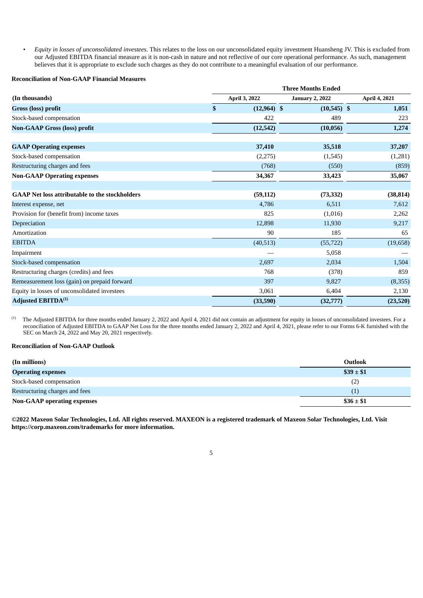*• Equity in losses of unconsolidated investees*. This relates to the loss on our unconsolidated equity investment Huansheng JV. This is excluded from our Adjusted EBITDA financial measure as it is non-cash in nature and not reflective of our core operational performance. As such, management believes that it is appropriate to exclude such charges as they do not contribute to a meaningful evaluation of our performance.

#### **Reconciliation of Non-GAAP Financial Measures**

|                                                       | <b>Three Months Ended</b> |                        |               |  |  |  |  |
|-------------------------------------------------------|---------------------------|------------------------|---------------|--|--|--|--|
| (In thousands)                                        | April 3, 2022             | <b>January 2, 2022</b> | April 4, 2021 |  |  |  |  |
| Gross (loss) profit                                   | \$<br>$(12,964)$ \$       | $(10,545)$ \$          | 1,051         |  |  |  |  |
| Stock-based compensation                              | 422                       | 489                    | 223           |  |  |  |  |
| <b>Non-GAAP Gross (loss) profit</b>                   | (12, 542)                 | (10, 056)              | 1,274         |  |  |  |  |
| <b>GAAP Operating expenses</b>                        | 37,410                    | 35,518                 | 37,207        |  |  |  |  |
| Stock-based compensation                              | (2,275)                   | (1,545)                | (1,281)       |  |  |  |  |
| Restructuring charges and fees                        | (768)                     | (550)                  | (859)         |  |  |  |  |
| <b>Non-GAAP Operating expenses</b>                    | 34,367                    | 33,423                 | 35,067        |  |  |  |  |
| <b>GAAP Net loss attributable to the stockholders</b> | (59, 112)                 | (73, 332)              | (38, 814)     |  |  |  |  |
| Interest expense, net                                 | 4,786                     | 6,511                  | 7,612         |  |  |  |  |
| Provision for (benefit from) income taxes             | 825                       | (1,016)                | 2,262         |  |  |  |  |
| Depreciation                                          | 12,898                    | 11,930                 | 9,217         |  |  |  |  |
| Amortization                                          | 90                        | 185                    | 65            |  |  |  |  |
| <b>EBITDA</b>                                         | (40,513)                  | (55, 722)              | (19,658)      |  |  |  |  |
| Impairment                                            |                           | 5,058                  |               |  |  |  |  |
| Stock-based compensation                              | 2,697                     | 2,034                  | 1,504         |  |  |  |  |
| Restructuring charges (credits) and fees              | 768                       | (378)                  | 859           |  |  |  |  |
| Remeasurement loss (gain) on prepaid forward          | 397                       | 9,827                  | (8,355)       |  |  |  |  |
| Equity in losses of unconsolidated investees          | 3,061                     | 6,404                  | 2,130         |  |  |  |  |
| <b>Adjusted EBITDA</b> <sup>(1)</sup>                 | (33,590)                  | (32, 777)              | (23,520)      |  |  |  |  |

The Adjusted EBITDA for three months ended January 2, 2022 and April 4, 2021 did not contain an adjustment for equity in losses of unconsolidated investees. For a reconciliation of Adjusted EBITDA to GAAP Net Loss for the three months ended January 2, 2022 and April 4, 2021, please refer to our Forms 6-K furnished with the SEC on March 24, 2022 and May 20, 2021 respectively. (1)

#### **Reconciliation of Non-GAAP Outlook**

| (In millions)                      | Outlook        |
|------------------------------------|----------------|
| <b>Operating expenses</b>          | $\$39 \pm \$1$ |
| Stock-based compensation           | (2)            |
| Restructuring charges and fees     | (1)            |
| <b>Non-GAAP</b> operating expenses | $\$36 \pm \$1$ |

©2022 Maxeon Solar Technologies, Ltd. All rights reserved. MAXEON is a registered trademark of Maxeon Solar Technologies, Ltd. Visit **https://corp.maxeon.com/trademarks for more information.**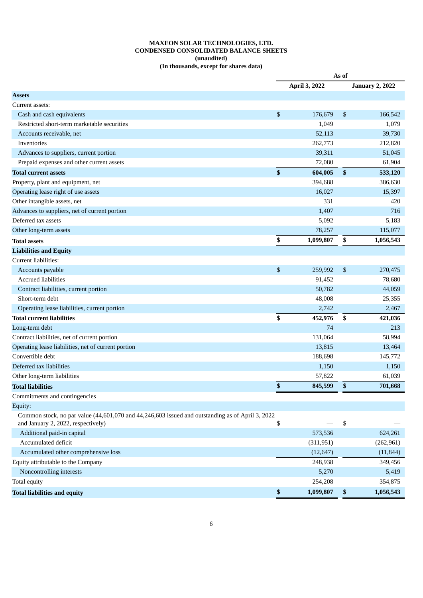#### **MAXEON SOLAR TECHNOLOGIES, LTD. CONDENSED CONSOLIDATED BALANCE SHEETS (unaudited) (In thousands, except for shares data)**

|                                                                                                  | As of |               |              |                        |
|--------------------------------------------------------------------------------------------------|-------|---------------|--------------|------------------------|
|                                                                                                  |       | April 3, 2022 |              | <b>January 2, 2022</b> |
| <b>Assets</b>                                                                                    |       |               |              |                        |
| Current assets:                                                                                  |       |               |              |                        |
| Cash and cash equivalents                                                                        | \$    | 176,679       | \$           | 166,542                |
| Restricted short-term marketable securities                                                      |       | 1,049         |              | 1,079                  |
| Accounts receivable, net                                                                         |       | 52,113        |              | 39,730                 |
| Inventories                                                                                      |       | 262,773       |              | 212,820                |
| Advances to suppliers, current portion                                                           |       | 39,311        |              | 51,045                 |
| Prepaid expenses and other current assets                                                        |       | 72,080        |              | 61,904                 |
| <b>Total current assets</b>                                                                      | \$    | 604,005       | $\mathbf{s}$ | 533,120                |
| Property, plant and equipment, net                                                               |       | 394,688       |              | 386,630                |
| Operating lease right of use assets                                                              |       | 16,027        |              | 15,397                 |
| Other intangible assets, net                                                                     |       | 331           |              | 420                    |
| Advances to suppliers, net of current portion                                                    |       | 1,407         |              | 716                    |
| Deferred tax assets                                                                              |       | 5,092         |              | 5,183                  |
| Other long-term assets                                                                           |       | 78,257        |              | 115,077                |
| <b>Total assets</b>                                                                              | \$    | 1,099,807     | \$           | 1,056,543              |
| <b>Liabilities and Equity</b>                                                                    |       |               |              |                        |
| Current liabilities:                                                                             |       |               |              |                        |
| Accounts payable                                                                                 | \$    | 259,992       | \$           | 270,475                |
| <b>Accrued liabilities</b>                                                                       |       | 91,452        |              | 78,680                 |
| Contract liabilities, current portion                                                            |       | 50,782        |              | 44,059                 |
| Short-term debt                                                                                  |       | 48,008        |              | 25,355                 |
| Operating lease liabilities, current portion                                                     |       | 2,742         |              | 2,467                  |
| Total current liabilities                                                                        | \$    | 452,976       | \$           | 421,036                |
| Long-term debt                                                                                   |       | 74            |              | 213                    |
| Contract liabilities, net of current portion                                                     |       | 131,064       |              | 58,994                 |
| Operating lease liabilities, net of current portion                                              |       | 13,815        |              | 13,464                 |
| Convertible debt                                                                                 |       | 188,698       |              | 145,772                |
| Deferred tax liabilities                                                                         |       | 1,150         |              | 1,150                  |
| Other long-term liabilities                                                                      |       | 57,822        |              | 61,039                 |
| <b>Total liabilities</b>                                                                         | \$    | 845,599       | \$           | 701,668                |
| Commitments and contingencies                                                                    |       |               |              |                        |
| Equity:                                                                                          |       |               |              |                        |
| Common stock, no par value (44,601,070 and 44,246,603 issued and outstanding as of April 3, 2022 |       |               |              |                        |
| and January 2, 2022, respectively)                                                               | \$    |               | \$           |                        |
| Additional paid-in capital                                                                       |       | 573,536       |              | 624,261                |
| Accumulated deficit                                                                              |       | (311, 951)    |              | (262, 961)             |
| Accumulated other comprehensive loss                                                             |       | (12, 647)     |              | (11, 844)              |
| Equity attributable to the Company                                                               |       | 248,938       |              | 349,456                |
| Noncontrolling interests                                                                         |       | 5,270         |              | 5,419                  |
| Total equity                                                                                     |       | 254,208       |              | 354,875                |
| <b>Total liabilities and equity</b>                                                              | \$    | 1,099,807     | \$           | 1,056,543              |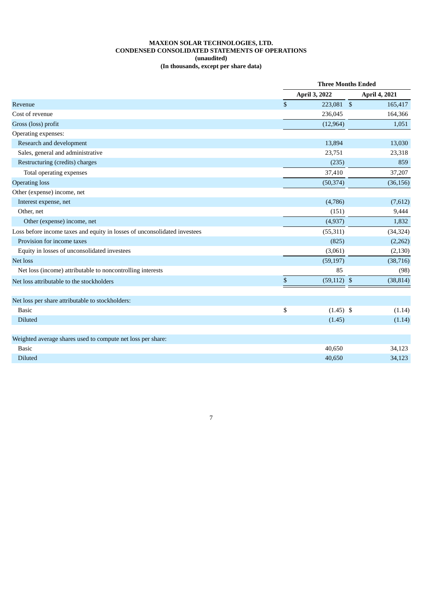#### **MAXEON SOLAR TECHNOLOGIES, LTD. CONDENSED CONSOLIDATED STATEMENTS OF OPERATIONS (unaudited) (In thousands, except per share data)**

|                                                                           |                         | <b>Three Months Ended</b> |  |               |  |
|---------------------------------------------------------------------------|-------------------------|---------------------------|--|---------------|--|
|                                                                           |                         | April 3, 2022             |  | April 4, 2021 |  |
| Revenue                                                                   | $\sqrt[6]{\frac{1}{2}}$ | 223,081 \$                |  | 165,417       |  |
| Cost of revenue                                                           |                         | 236,045                   |  | 164,366       |  |
| Gross (loss) profit                                                       |                         | (12, 964)                 |  | 1,051         |  |
| Operating expenses:                                                       |                         |                           |  |               |  |
| Research and development                                                  |                         | 13,894                    |  | 13,030        |  |
| Sales, general and administrative                                         |                         | 23,751                    |  | 23,318        |  |
| Restructuring (credits) charges                                           |                         | (235)                     |  | 859           |  |
| Total operating expenses                                                  |                         | 37,410                    |  | 37,207        |  |
| <b>Operating loss</b>                                                     |                         | (50, 374)                 |  | (36, 156)     |  |
| Other (expense) income, net                                               |                         |                           |  |               |  |
| Interest expense, net                                                     |                         | (4,786)                   |  | (7,612)       |  |
| Other, net                                                                |                         | (151)                     |  | 9,444         |  |
| Other (expense) income, net                                               |                         | (4,937)                   |  | 1,832         |  |
| Loss before income taxes and equity in losses of unconsolidated investees |                         | (55, 311)                 |  | (34, 324)     |  |
| Provision for income taxes                                                |                         | (825)                     |  | (2,262)       |  |
| Equity in losses of unconsolidated investees                              |                         | (3,061)                   |  | (2, 130)      |  |
| Net loss                                                                  |                         | (59, 197)                 |  | (38, 716)     |  |
| Net loss (income) attributable to noncontrolling interests                |                         | 85                        |  | (98)          |  |
| Net loss attributable to the stockholders                                 | $\$$                    | $(59, 112)$ \$            |  | (38, 814)     |  |
| Net loss per share attributable to stockholders:                          |                         |                           |  |               |  |
| <b>Basic</b>                                                              | \$                      | $(1.45)$ \$               |  | (1.14)        |  |
| Diluted                                                                   |                         | (1.45)                    |  | (1.14)        |  |
| Weighted average shares used to compute net loss per share:               |                         |                           |  |               |  |
| <b>Basic</b>                                                              |                         | 40,650                    |  | 34,123        |  |
| Diluted                                                                   |                         | 40,650                    |  | 34,123        |  |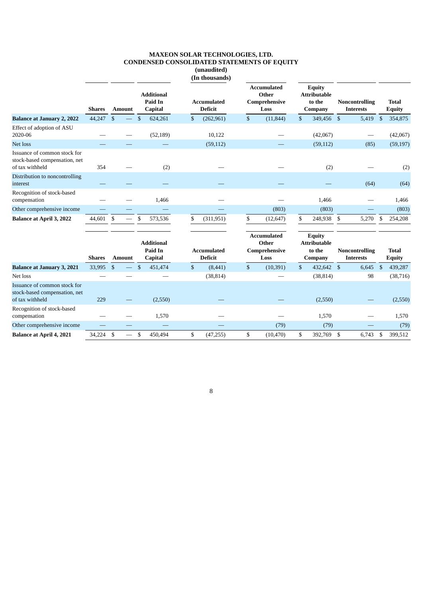|                                                                                  |               |               |                                         |              | (unaudited)<br>(In thousands)        |                                                      |    |                                                           |                                           |                |                               |
|----------------------------------------------------------------------------------|---------------|---------------|-----------------------------------------|--------------|--------------------------------------|------------------------------------------------------|----|-----------------------------------------------------------|-------------------------------------------|----------------|-------------------------------|
|                                                                                  | <b>Shares</b> | <b>Amount</b> | <b>Additional</b><br>Paid In<br>Capital |              | <b>Accumulated</b><br><b>Deficit</b> | <b>Accumulated</b><br>Other<br>Comprehensive<br>Loss |    | <b>Equity</b><br><b>Attributable</b><br>to the<br>Company | <b>Noncontrolling</b><br><b>Interests</b> |                | <b>Total</b><br><b>Equity</b> |
| <b>Balance at January 2, 2022</b>                                                | 44,247        | \$            | \$<br>624,261                           | \$           | (262,961)                            | \$<br>(11, 844)                                      | \$ | 349,456                                                   | -\$<br>5,419                              | $\mathfrak{F}$ | 354,875                       |
| Effect of adoption of ASU<br>2020-06                                             |               |               | (52, 189)                               |              | 10,122                               |                                                      |    | (42,067)                                                  |                                           |                | (42,067)                      |
| Net loss                                                                         |               |               |                                         |              | (59, 112)                            |                                                      |    | (59, 112)                                                 | (85)                                      |                | (59, 197)                     |
| Issuance of common stock for<br>stock-based compensation, net<br>of tax withheld | 354           |               | (2)                                     |              |                                      |                                                      |    | (2)                                                       |                                           |                | (2)                           |
| Distribution to noncontrolling<br>interest                                       |               |               |                                         |              |                                      |                                                      |    |                                                           | (64)                                      |                | (64)                          |
| Recognition of stock-based<br>compensation                                       |               |               | 1,466                                   |              |                                      |                                                      |    | 1,466                                                     |                                           |                | 1,466                         |
| Other comprehensive income                                                       |               |               |                                         |              |                                      | (803)                                                |    | (803)                                                     |                                           |                | (803)                         |
| <b>Balance at April 3, 2022</b>                                                  | 44,601 \$     |               | 573,536<br>\$                           | \$           | (311, 951)                           | \$<br>(12, 647)                                      | \$ | 248,938 \$                                                | 5,270                                     | -\$            | 254,208                       |
|                                                                                  | <b>Shares</b> | <b>Amount</b> | <b>Additional</b><br>Paid In<br>Capital |              | <b>Accumulated</b><br><b>Deficit</b> | <b>Accumulated</b><br>Other<br>Comprehensive<br>Loss |    | <b>Equity</b><br><b>Attributable</b><br>to the<br>Company | <b>Noncontrolling</b><br><b>Interests</b> |                | <b>Total</b><br><b>Equity</b> |
| <b>Balance at January 3, 2021</b>                                                | 33,995        | $\mathbf{s}$  | \$<br>451,474                           | $\mathbb{S}$ | (8, 441)                             | \$<br>(10, 391)                                      | \$ | 432,642                                                   | $\mathfrak{s}$<br>6,645                   | $\mathfrak{S}$ | 439,287                       |
| Net loss                                                                         |               |               |                                         |              | (38, 814)                            |                                                      |    | (38, 814)                                                 | 98                                        |                | (38, 716)                     |
| Issuance of common stock for<br>stock-based compensation, net<br>of tax withheld | 229           |               | (2,550)                                 |              |                                      |                                                      |    | (2,550)                                                   |                                           |                | (2,550)                       |
| Recognition of stock-based<br>compensation                                       |               |               | 1,570                                   |              |                                      |                                                      |    | 1,570                                                     |                                           |                | 1,570                         |
| Other comprehensive income                                                       |               |               |                                         |              |                                      | (79)                                                 |    | (79)                                                      |                                           |                | (79)                          |
| <b>Balance at April 4, 2021</b>                                                  | 34.224        | \$            | \$<br>450,494                           | \$           | (47, 255)                            | \$<br>(10, 470)                                      | \$ | 392.769                                                   | $\mathfrak{S}$<br>6,743                   | -\$            | 399,512                       |

#### **MAXEON SOLAR TECHNOLOGIES, LTD. CONDENSED CONSOLIDATED STATEMENTS OF EQUITY (unaudited)**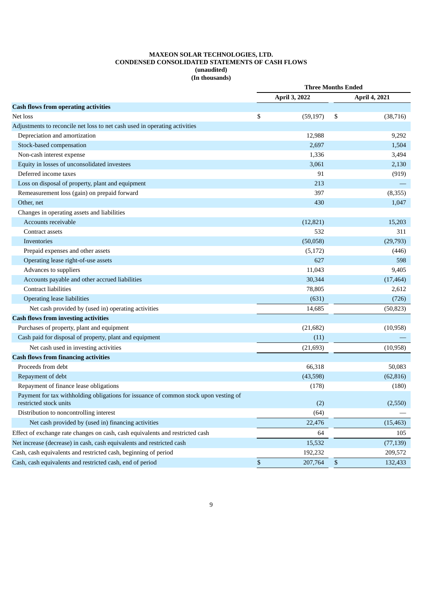#### **MAXEON SOLAR TECHNOLOGIES, LTD. CONDENSED CONSOLIDATED STATEMENTS OF CASH FLOWS (unaudited) (In thousands)**

| April 3, 2022<br>April 4, 2021<br>\$<br>(59, 197)<br>\$<br>(38, 716)<br>Depreciation and amortization<br>12,988<br>9,292<br>Stock-based compensation<br>2,697<br>1,504<br>1,336<br>3,494<br>Non-cash interest expense<br>Equity in losses of unconsolidated investees<br>3,061<br>2,130<br>Deferred income taxes<br>91<br>(919)<br>Loss on disposal of property, plant and equipment<br>213<br>397<br>Remeasurement loss (gain) on prepaid forward<br>(8,355)<br>430<br>1,047<br>Other, net<br>Changes in operating assets and liabilities<br>Accounts receivable<br>(12, 821)<br>15,203<br>532<br>311<br>Contract assets<br>(50,058)<br>Inventories<br>(29,793)<br>Prepaid expenses and other assets<br>(5, 172)<br>(446)<br>Operating lease right-of-use assets<br>627<br>598<br>Advances to suppliers<br>11,043<br>9,405<br>Accounts payable and other accrued liabilities<br>30,344<br>(17, 464)<br><b>Contract liabilities</b><br>78,805<br>2,612<br>(631)<br>Operating lease liabilities<br>(726)<br>Net cash provided by (used in) operating activities<br>14,685<br>(50, 823)<br>Purchases of property, plant and equipment<br>(10, 958)<br>(21,682)<br>Cash paid for disposal of property, plant and equipment<br>(11)<br>Net cash used in investing activities<br>(21, 693)<br>(10, 958)<br>Proceeds from debt<br>66,318<br>50,083<br>Repayment of debt<br>(43,598)<br>(62, 816)<br>Repayment of finance lease obligations<br>(178)<br>(180)<br>Payment for tax withholding obligations for issuance of common stock upon vesting of<br>(2)<br>(2,550)<br>restricted stock units<br>Distribution to noncontrolling interest<br>(64)<br>Net cash provided by (used in) financing activities<br>22,476<br>(15, 463)<br>Effect of exchange rate changes on cash, cash equivalents and restricted cash<br>64<br>105<br>Net increase (decrease) in cash, cash equivalents and restricted cash<br>15,532<br>(77, 139)<br>Cash, cash equivalents and restricted cash, beginning of period<br>192,232<br>209,572 |                                                                            | <b>Three Months Ended</b> |         |    |         |
|--------------------------------------------------------------------------------------------------------------------------------------------------------------------------------------------------------------------------------------------------------------------------------------------------------------------------------------------------------------------------------------------------------------------------------------------------------------------------------------------------------------------------------------------------------------------------------------------------------------------------------------------------------------------------------------------------------------------------------------------------------------------------------------------------------------------------------------------------------------------------------------------------------------------------------------------------------------------------------------------------------------------------------------------------------------------------------------------------------------------------------------------------------------------------------------------------------------------------------------------------------------------------------------------------------------------------------------------------------------------------------------------------------------------------------------------------------------------------------------------------------------------------------------------------------------------------------------------------------------------------------------------------------------------------------------------------------------------------------------------------------------------------------------------------------------------------------------------------------------------------------------------------------------------------------------------------------------------------------------------------------------------|----------------------------------------------------------------------------|---------------------------|---------|----|---------|
|                                                                                                                                                                                                                                                                                                                                                                                                                                                                                                                                                                                                                                                                                                                                                                                                                                                                                                                                                                                                                                                                                                                                                                                                                                                                                                                                                                                                                                                                                                                                                                                                                                                                                                                                                                                                                                                                                                                                                                                                                    |                                                                            |                           |         |    |         |
|                                                                                                                                                                                                                                                                                                                                                                                                                                                                                                                                                                                                                                                                                                                                                                                                                                                                                                                                                                                                                                                                                                                                                                                                                                                                                                                                                                                                                                                                                                                                                                                                                                                                                                                                                                                                                                                                                                                                                                                                                    | <b>Cash flows from operating activities</b>                                |                           |         |    |         |
|                                                                                                                                                                                                                                                                                                                                                                                                                                                                                                                                                                                                                                                                                                                                                                                                                                                                                                                                                                                                                                                                                                                                                                                                                                                                                                                                                                                                                                                                                                                                                                                                                                                                                                                                                                                                                                                                                                                                                                                                                    | Net loss                                                                   |                           |         |    |         |
|                                                                                                                                                                                                                                                                                                                                                                                                                                                                                                                                                                                                                                                                                                                                                                                                                                                                                                                                                                                                                                                                                                                                                                                                                                                                                                                                                                                                                                                                                                                                                                                                                                                                                                                                                                                                                                                                                                                                                                                                                    | Adjustments to reconcile net loss to net cash used in operating activities |                           |         |    |         |
|                                                                                                                                                                                                                                                                                                                                                                                                                                                                                                                                                                                                                                                                                                                                                                                                                                                                                                                                                                                                                                                                                                                                                                                                                                                                                                                                                                                                                                                                                                                                                                                                                                                                                                                                                                                                                                                                                                                                                                                                                    |                                                                            |                           |         |    |         |
|                                                                                                                                                                                                                                                                                                                                                                                                                                                                                                                                                                                                                                                                                                                                                                                                                                                                                                                                                                                                                                                                                                                                                                                                                                                                                                                                                                                                                                                                                                                                                                                                                                                                                                                                                                                                                                                                                                                                                                                                                    |                                                                            |                           |         |    |         |
|                                                                                                                                                                                                                                                                                                                                                                                                                                                                                                                                                                                                                                                                                                                                                                                                                                                                                                                                                                                                                                                                                                                                                                                                                                                                                                                                                                                                                                                                                                                                                                                                                                                                                                                                                                                                                                                                                                                                                                                                                    |                                                                            |                           |         |    |         |
|                                                                                                                                                                                                                                                                                                                                                                                                                                                                                                                                                                                                                                                                                                                                                                                                                                                                                                                                                                                                                                                                                                                                                                                                                                                                                                                                                                                                                                                                                                                                                                                                                                                                                                                                                                                                                                                                                                                                                                                                                    |                                                                            |                           |         |    |         |
|                                                                                                                                                                                                                                                                                                                                                                                                                                                                                                                                                                                                                                                                                                                                                                                                                                                                                                                                                                                                                                                                                                                                                                                                                                                                                                                                                                                                                                                                                                                                                                                                                                                                                                                                                                                                                                                                                                                                                                                                                    |                                                                            |                           |         |    |         |
|                                                                                                                                                                                                                                                                                                                                                                                                                                                                                                                                                                                                                                                                                                                                                                                                                                                                                                                                                                                                                                                                                                                                                                                                                                                                                                                                                                                                                                                                                                                                                                                                                                                                                                                                                                                                                                                                                                                                                                                                                    |                                                                            |                           |         |    |         |
|                                                                                                                                                                                                                                                                                                                                                                                                                                                                                                                                                                                                                                                                                                                                                                                                                                                                                                                                                                                                                                                                                                                                                                                                                                                                                                                                                                                                                                                                                                                                                                                                                                                                                                                                                                                                                                                                                                                                                                                                                    |                                                                            |                           |         |    |         |
|                                                                                                                                                                                                                                                                                                                                                                                                                                                                                                                                                                                                                                                                                                                                                                                                                                                                                                                                                                                                                                                                                                                                                                                                                                                                                                                                                                                                                                                                                                                                                                                                                                                                                                                                                                                                                                                                                                                                                                                                                    |                                                                            |                           |         |    |         |
|                                                                                                                                                                                                                                                                                                                                                                                                                                                                                                                                                                                                                                                                                                                                                                                                                                                                                                                                                                                                                                                                                                                                                                                                                                                                                                                                                                                                                                                                                                                                                                                                                                                                                                                                                                                                                                                                                                                                                                                                                    |                                                                            |                           |         |    |         |
|                                                                                                                                                                                                                                                                                                                                                                                                                                                                                                                                                                                                                                                                                                                                                                                                                                                                                                                                                                                                                                                                                                                                                                                                                                                                                                                                                                                                                                                                                                                                                                                                                                                                                                                                                                                                                                                                                                                                                                                                                    |                                                                            |                           |         |    |         |
|                                                                                                                                                                                                                                                                                                                                                                                                                                                                                                                                                                                                                                                                                                                                                                                                                                                                                                                                                                                                                                                                                                                                                                                                                                                                                                                                                                                                                                                                                                                                                                                                                                                                                                                                                                                                                                                                                                                                                                                                                    |                                                                            |                           |         |    |         |
|                                                                                                                                                                                                                                                                                                                                                                                                                                                                                                                                                                                                                                                                                                                                                                                                                                                                                                                                                                                                                                                                                                                                                                                                                                                                                                                                                                                                                                                                                                                                                                                                                                                                                                                                                                                                                                                                                                                                                                                                                    |                                                                            |                           |         |    |         |
|                                                                                                                                                                                                                                                                                                                                                                                                                                                                                                                                                                                                                                                                                                                                                                                                                                                                                                                                                                                                                                                                                                                                                                                                                                                                                                                                                                                                                                                                                                                                                                                                                                                                                                                                                                                                                                                                                                                                                                                                                    |                                                                            |                           |         |    |         |
|                                                                                                                                                                                                                                                                                                                                                                                                                                                                                                                                                                                                                                                                                                                                                                                                                                                                                                                                                                                                                                                                                                                                                                                                                                                                                                                                                                                                                                                                                                                                                                                                                                                                                                                                                                                                                                                                                                                                                                                                                    |                                                                            |                           |         |    |         |
|                                                                                                                                                                                                                                                                                                                                                                                                                                                                                                                                                                                                                                                                                                                                                                                                                                                                                                                                                                                                                                                                                                                                                                                                                                                                                                                                                                                                                                                                                                                                                                                                                                                                                                                                                                                                                                                                                                                                                                                                                    |                                                                            |                           |         |    |         |
|                                                                                                                                                                                                                                                                                                                                                                                                                                                                                                                                                                                                                                                                                                                                                                                                                                                                                                                                                                                                                                                                                                                                                                                                                                                                                                                                                                                                                                                                                                                                                                                                                                                                                                                                                                                                                                                                                                                                                                                                                    |                                                                            |                           |         |    |         |
|                                                                                                                                                                                                                                                                                                                                                                                                                                                                                                                                                                                                                                                                                                                                                                                                                                                                                                                                                                                                                                                                                                                                                                                                                                                                                                                                                                                                                                                                                                                                                                                                                                                                                                                                                                                                                                                                                                                                                                                                                    |                                                                            |                           |         |    |         |
|                                                                                                                                                                                                                                                                                                                                                                                                                                                                                                                                                                                                                                                                                                                                                                                                                                                                                                                                                                                                                                                                                                                                                                                                                                                                                                                                                                                                                                                                                                                                                                                                                                                                                                                                                                                                                                                                                                                                                                                                                    |                                                                            |                           |         |    |         |
|                                                                                                                                                                                                                                                                                                                                                                                                                                                                                                                                                                                                                                                                                                                                                                                                                                                                                                                                                                                                                                                                                                                                                                                                                                                                                                                                                                                                                                                                                                                                                                                                                                                                                                                                                                                                                                                                                                                                                                                                                    |                                                                            |                           |         |    |         |
|                                                                                                                                                                                                                                                                                                                                                                                                                                                                                                                                                                                                                                                                                                                                                                                                                                                                                                                                                                                                                                                                                                                                                                                                                                                                                                                                                                                                                                                                                                                                                                                                                                                                                                                                                                                                                                                                                                                                                                                                                    | <b>Cash flows from investing activities</b>                                |                           |         |    |         |
|                                                                                                                                                                                                                                                                                                                                                                                                                                                                                                                                                                                                                                                                                                                                                                                                                                                                                                                                                                                                                                                                                                                                                                                                                                                                                                                                                                                                                                                                                                                                                                                                                                                                                                                                                                                                                                                                                                                                                                                                                    |                                                                            |                           |         |    |         |
|                                                                                                                                                                                                                                                                                                                                                                                                                                                                                                                                                                                                                                                                                                                                                                                                                                                                                                                                                                                                                                                                                                                                                                                                                                                                                                                                                                                                                                                                                                                                                                                                                                                                                                                                                                                                                                                                                                                                                                                                                    |                                                                            |                           |         |    |         |
|                                                                                                                                                                                                                                                                                                                                                                                                                                                                                                                                                                                                                                                                                                                                                                                                                                                                                                                                                                                                                                                                                                                                                                                                                                                                                                                                                                                                                                                                                                                                                                                                                                                                                                                                                                                                                                                                                                                                                                                                                    |                                                                            |                           |         |    |         |
|                                                                                                                                                                                                                                                                                                                                                                                                                                                                                                                                                                                                                                                                                                                                                                                                                                                                                                                                                                                                                                                                                                                                                                                                                                                                                                                                                                                                                                                                                                                                                                                                                                                                                                                                                                                                                                                                                                                                                                                                                    | <b>Cash flows from financing activities</b>                                |                           |         |    |         |
|                                                                                                                                                                                                                                                                                                                                                                                                                                                                                                                                                                                                                                                                                                                                                                                                                                                                                                                                                                                                                                                                                                                                                                                                                                                                                                                                                                                                                                                                                                                                                                                                                                                                                                                                                                                                                                                                                                                                                                                                                    |                                                                            |                           |         |    |         |
|                                                                                                                                                                                                                                                                                                                                                                                                                                                                                                                                                                                                                                                                                                                                                                                                                                                                                                                                                                                                                                                                                                                                                                                                                                                                                                                                                                                                                                                                                                                                                                                                                                                                                                                                                                                                                                                                                                                                                                                                                    |                                                                            |                           |         |    |         |
|                                                                                                                                                                                                                                                                                                                                                                                                                                                                                                                                                                                                                                                                                                                                                                                                                                                                                                                                                                                                                                                                                                                                                                                                                                                                                                                                                                                                                                                                                                                                                                                                                                                                                                                                                                                                                                                                                                                                                                                                                    |                                                                            |                           |         |    |         |
|                                                                                                                                                                                                                                                                                                                                                                                                                                                                                                                                                                                                                                                                                                                                                                                                                                                                                                                                                                                                                                                                                                                                                                                                                                                                                                                                                                                                                                                                                                                                                                                                                                                                                                                                                                                                                                                                                                                                                                                                                    |                                                                            |                           |         |    |         |
|                                                                                                                                                                                                                                                                                                                                                                                                                                                                                                                                                                                                                                                                                                                                                                                                                                                                                                                                                                                                                                                                                                                                                                                                                                                                                                                                                                                                                                                                                                                                                                                                                                                                                                                                                                                                                                                                                                                                                                                                                    |                                                                            |                           |         |    |         |
|                                                                                                                                                                                                                                                                                                                                                                                                                                                                                                                                                                                                                                                                                                                                                                                                                                                                                                                                                                                                                                                                                                                                                                                                                                                                                                                                                                                                                                                                                                                                                                                                                                                                                                                                                                                                                                                                                                                                                                                                                    |                                                                            |                           |         |    |         |
|                                                                                                                                                                                                                                                                                                                                                                                                                                                                                                                                                                                                                                                                                                                                                                                                                                                                                                                                                                                                                                                                                                                                                                                                                                                                                                                                                                                                                                                                                                                                                                                                                                                                                                                                                                                                                                                                                                                                                                                                                    |                                                                            |                           |         |    |         |
|                                                                                                                                                                                                                                                                                                                                                                                                                                                                                                                                                                                                                                                                                                                                                                                                                                                                                                                                                                                                                                                                                                                                                                                                                                                                                                                                                                                                                                                                                                                                                                                                                                                                                                                                                                                                                                                                                                                                                                                                                    |                                                                            |                           |         |    |         |
|                                                                                                                                                                                                                                                                                                                                                                                                                                                                                                                                                                                                                                                                                                                                                                                                                                                                                                                                                                                                                                                                                                                                                                                                                                                                                                                                                                                                                                                                                                                                                                                                                                                                                                                                                                                                                                                                                                                                                                                                                    |                                                                            |                           |         |    |         |
|                                                                                                                                                                                                                                                                                                                                                                                                                                                                                                                                                                                                                                                                                                                                                                                                                                                                                                                                                                                                                                                                                                                                                                                                                                                                                                                                                                                                                                                                                                                                                                                                                                                                                                                                                                                                                                                                                                                                                                                                                    | Cash, cash equivalents and restricted cash, end of period                  | \$                        | 207,764 | \$ | 132,433 |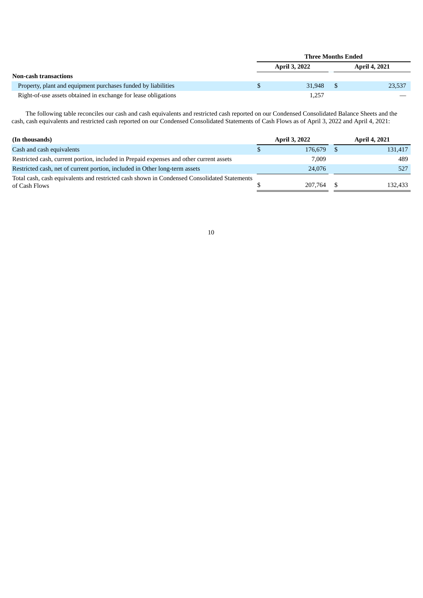|                                                                |   | Three Months Ended   |                      |
|----------------------------------------------------------------|---|----------------------|----------------------|
|                                                                |   | <b>April 3, 2022</b> | <b>April 4, 2021</b> |
| <b>Non-cash transactions</b>                                   |   |                      |                      |
| Property, plant and equipment purchases funded by liabilities  | S | 31.948               | 23,537               |
| Right-of-use assets obtained in exchange for lease obligations |   | 1.257                |                      |

The following table reconciles our cash and cash equivalents and restricted cash reported on our Condensed Consolidated Balance Sheets and the cash, cash equivalents and restricted cash reported on our Condensed Consolidated Statements of Cash Flows as of April 3, 2022 and April 4, 2021:

| (In thousands)                                                                                               | <b>April 3, 2022</b> | April 4, 2021 |
|--------------------------------------------------------------------------------------------------------------|----------------------|---------------|
| Cash and cash equivalents                                                                                    | 176.679              | 131,417       |
| Restricted cash, current portion, included in Prepaid expenses and other current assets                      | 7.009                | 489           |
| Restricted cash, net of current portion, included in Other long-term assets                                  | 24,076               | 527           |
| Total cash, cash equivalents and restricted cash shown in Condensed Consolidated Statements<br>of Cash Flows | 207.764              | 132,433       |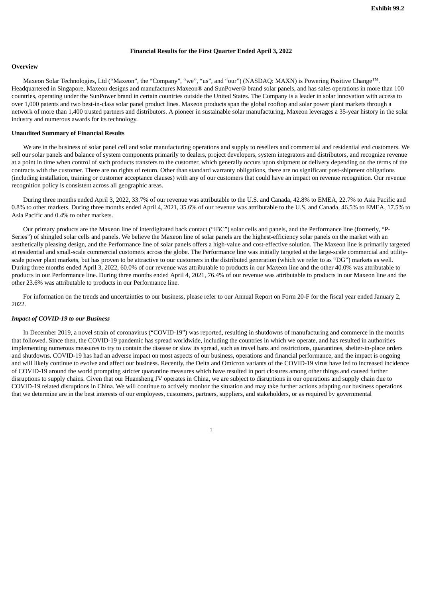#### **Financial Results for the First Quarter Ended April 3, 2022**

#### <span id="page-14-0"></span>**Overview**

Maxeon Solar Technologies, Ltd ("Maxeon", the "Company", "we", "us", and "our") (NASDAQ: MAXN) is Powering Positive Change™. Headquartered in Singapore, Maxeon designs and manufactures Maxeon® and SunPower® brand solar panels, and has sales operations in more than 100 countries, operating under the SunPower brand in certain countries outside the United States. The Company is a leader in solar innovation with access to over 1,000 patents and two best-in-class solar panel product lines. Maxeon products span the global rooftop and solar power plant markets through a network of more than 1,400 trusted partners and distributors. A pioneer in sustainable solar manufacturing, Maxeon leverages a 35-year history in the solar industry and numerous awards for its technology.

#### **Unaudited Summary of Financial Results**

We are in the business of solar panel cell and solar manufacturing operations and supply to resellers and commercial and residential end customers. We sell our solar panels and balance of system components primarily to dealers, project developers, system integrators and distributors, and recognize revenue at a point in time when control of such products transfers to the customer, which generally occurs upon shipment or delivery depending on the terms of the contracts with the customer. There are no rights of return. Other than standard warranty obligations, there are no significant post-shipment obligations (including installation, training or customer acceptance clauses) with any of our customers that could have an impact on revenue recognition. Our revenue recognition policy is consistent across all geographic areas.

During three months ended April 3, 2022, 33.7% of our revenue was attributable to the U.S. and Canada, 42.8% to EMEA, 22.7% to Asia Pacific and 0.8% to other markets. During three months ended April 4, 2021, 35.6% of our revenue was attributable to the U.S. and Canada, 46.5% to EMEA, 17.5% to Asia Pacific and 0.4% to other markets.

Our primary products are the Maxeon line of interdigitated back contact ("IBC") solar cells and panels, and the Performance line (formerly, "P-Series") of shingled solar cells and panels. We believe the Maxeon line of solar panels are the highest-efficiency solar panels on the market with an aesthetically pleasing design, and the Performance line of solar panels offers a high-value and cost-effective solution. The Maxeon line is primarily targeted at residential and small-scale commercial customers across the globe. The Performance line was initially targeted at the large-scale commercial and utilityscale power plant markets, but has proven to be attractive to our customers in the distributed generation (which we refer to as "DG") markets as well. During three months ended April 3, 2022, 60.0% of our revenue was attributable to products in our Maxeon line and the other 40.0% was attributable to products in our Performance line. During three months ended April 4, 2021, 76.4% of our revenue was attributable to products in our Maxeon line and the other 23.6% was attributable to products in our Performance line.

For information on the trends and uncertainties to our business, please refer to our Annual Report on Form 20-F for the fiscal year ended January 2, 2022.

#### *Impact of COVID-19 to our Business*

In December 2019, a novel strain of coronavirus ("COVID-19") was reported, resulting in shutdowns of manufacturing and commerce in the months that followed. Since then, the COVID-19 pandemic has spread worldwide, including the countries in which we operate, and has resulted in authorities implementing numerous measures to try to contain the disease or slow its spread, such as travel bans and restrictions, quarantines, shelter-in-place orders and shutdowns. COVID-19 has had an adverse impact on most aspects of our business, operations and financial performance, and the impact is ongoing and will likely continue to evolve and affect our business. Recently, the Delta and Omicron variants of the COVID-19 virus have led to increased incidence of COVID-19 around the world prompting stricter quarantine measures which have resulted in port closures among other things and caused further disruptions to supply chains. Given that our Huansheng JV operates in China, we are subject to disruptions in our operations and supply chain due to COVID-19 related disruptions in China. We will continue to actively monitor the situation and may take further actions adapting our business operations that we determine are in the best interests of our employees, customers, partners, suppliers, and stakeholders, or as required by governmental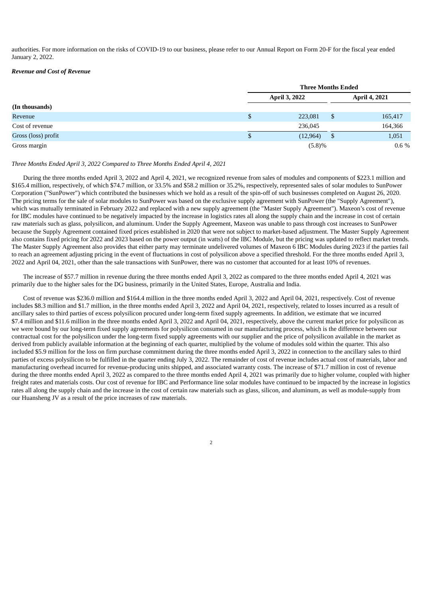authorities. For more information on the risks of COVID-19 to our business, please refer to our Annual Report on Form 20-F for the fiscal year ended January 2, 2022.

#### *Revenue and Cost of Revenue*

|                     | <b>Three Months Ended</b> |    |                      |
|---------------------|---------------------------|----|----------------------|
|                     | <b>April 3, 2022</b>      |    | <b>April 4, 2021</b> |
| (In thousands)      |                           |    |                      |
| Revenue             | \$<br>223,081             | \$ | 165,417              |
| Cost of revenue     | 236,045                   |    | 164,366              |
| Gross (loss) profit | \$<br>(12, 964)           | -S | 1,051                |
| Gross margin        | (5.8)%                    |    | $0.6\%$              |

#### *Three Months Ended April 3, 2022 Compared to Three Months Ended April 4, 2021*

During the three months ended April 3, 2022 and April 4, 2021, we recognized revenue from sales of modules and components of \$223.1 million and \$165.4 million, respectively, of which \$74.7 million, or 33.5% and \$58.2 million or 35.2%, respectively, represented sales of solar modules to SunPower Corporation ("SunPower") which contributed the businesses which we hold as a result of the spin-off of such businesses completed on August 26, 2020. The pricing terms for the sale of solar modules to SunPower was based on the exclusive supply agreement with SunPower (the "Supply Agreement"), which was mutually terminated in February 2022 and replaced with a new supply agreement (the "Master Supply Agreement"). Maxeon's cost of revenue for IBC modules have continued to be negatively impacted by the increase in logistics rates all along the supply chain and the increase in cost of certain raw materials such as glass, polysilicon, and aluminum. Under the Supply Agreement, Maxeon was unable to pass through cost increases to SunPower because the Supply Agreement contained fixed prices established in 2020 that were not subject to market-based adjustment. The Master Supply Agreement also contains fixed pricing for 2022 and 2023 based on the power output (in watts) of the IBC Module, but the pricing was updated to reflect market trends. The Master Supply Agreement also provides that either party may terminate undelivered volumes of Maxeon 6 IBC Modules during 2023 if the parties fail to reach an agreement adjusting pricing in the event of fluctuations in cost of polysilicon above a specified threshold. For the three months ended April 3, 2022 and April 04, 2021, other than the sale transactions with SunPower, there was no customer that accounted for at least 10% of revenues.

The increase of \$57.7 million in revenue during the three months ended April 3, 2022 as compared to the three months ended April 4, 2021 was primarily due to the higher sales for the DG business, primarily in the United States, Europe, Australia and India.

Cost of revenue was \$236.0 million and \$164.4 million in the three months ended April 3, 2022 and April 04, 2021, respectively. Cost of revenue includes \$8.3 million and \$1.7 million, in the three months ended April 3, 2022 and April 04, 2021, respectively, related to losses incurred as a result of ancillary sales to third parties of excess polysilicon procured under long-term fixed supply agreements. In addition, we estimate that we incurred \$7.4 million and \$11.6 million in the three months ended April 3, 2022 and April 04, 2021, respectively, above the current market price for polysilicon as we were bound by our long-term fixed supply agreements for polysilicon consumed in our manufacturing process, which is the difference between our contractual cost for the polysilicon under the long-term fixed supply agreements with our supplier and the price of polysilicon available in the market as derived from publicly available information at the beginning of each quarter, multiplied by the volume of modules sold within the quarter. This also included \$5.9 million for the loss on firm purchase commitment during the three months ended April 3, 2022 in connection to the ancillary sales to third parties of excess polysilicon to be fulfilled in the quarter ending July 3, 2022. The remainder of cost of revenue includes actual cost of materials, labor and manufacturing overhead incurred for revenue-producing units shipped, and associated warranty costs. The increase of \$71.7 million in cost of revenue during the three months ended April 3, 2022 as compared to the three months ended April 4, 2021 was primarily due to higher volume, coupled with higher freight rates and materials costs. Our cost of revenue for IBC and Performance line solar modules have continued to be impacted by the increase in logistics rates all along the supply chain and the increase in the cost of certain raw materials such as glass, silicon, and aluminum, as well as module-supply from our Huansheng JV as a result of the price increases of raw materials.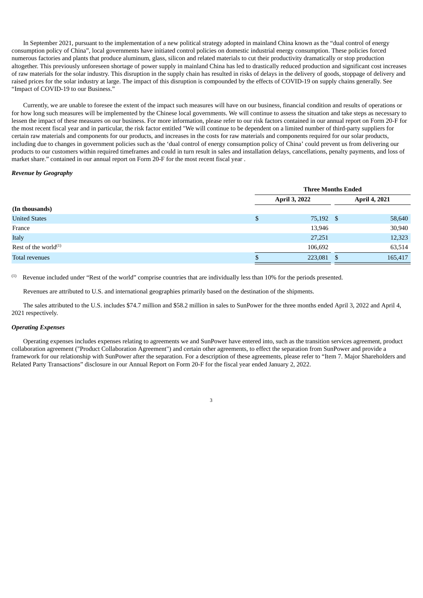In September 2021, pursuant to the implementation of a new political strategy adopted in mainland China known as the "dual control of energy consumption policy of China", local governments have initiated control policies on domestic industrial energy consumption. These policies forced numerous factories and plants that produce aluminum, glass, silicon and related materials to cut their productivity dramatically or stop production altogether. This previously unforeseen shortage of power supply in mainland China has led to drastically reduced production and significant cost increases of raw materials for the solar industry. This disruption in the supply chain has resulted in risks of delays in the delivery of goods, stoppage of delivery and raised prices for the solar industry at large. The impact of this disruption is compounded by the effects of COVID-19 on supply chains generally. See "Impact of COVID-19 to our Business."

Currently, we are unable to foresee the extent of the impact such measures will have on our business, financial condition and results of operations or for how long such measures will be implemented by the Chinese local governments. We will continue to assess the situation and take steps as necessary to lessen the impact of these measures on our business. For more information, please refer to our risk factors contained in our annual report on Form 20-F for the most recent fiscal year and in particular, the risk factor entitled "We will continue to be dependent on a limited number of third-party suppliers for certain raw materials and components for our products, and increases in the costs for raw materials and components required for our solar products, including due to changes in government policies such as the 'dual control of energy consumption policy of China' could prevent us from delivering our products to our customers within required timeframes and could in turn result in sales and installation delays, cancellations, penalty payments, and loss of market share." contained in our annual report on Form 20-F for the most recent fiscal year .

#### *Revenue by Geography*

|                            | <b>Three Months Ended</b> |  |                      |
|----------------------------|---------------------------|--|----------------------|
|                            | <b>April 3, 2022</b>      |  | <b>April 4, 2021</b> |
| (In thousands)             |                           |  |                      |
| <b>United States</b>       | \$<br>75,192 \$           |  | 58,640               |
| France                     | 13,946                    |  | 30,940               |
| Italy                      | 27,251                    |  | 12,323               |
| Rest of the world $^{(1)}$ | 106,692                   |  | 63,514               |
| Total revenues             | \$<br>223,081 \$          |  | 165,417              |

Revenue included under "Rest of the world" comprise countries that are individually less than 10% for the periods presented. (1)

Revenues are attributed to U.S. and international geographies primarily based on the destination of the shipments.

The sales attributed to the U.S. includes \$74.7 million and \$58.2 million in sales to SunPower for the three months ended April 3, 2022 and April 4, 2021 respectively.

#### *Operating Expenses*

Operating expenses includes expenses relating to agreements we and SunPower have entered into, such as the transition services agreement, product collaboration agreement ("Product Collaboration Agreement") and certain other agreements, to effect the separation from SunPower and provide a framework for our relationship with SunPower after the separation. For a description of these agreements, please refer to "Item 7. Major Shareholders and Related Party Transactions" disclosure in our Annual Report on Form 20-F for the fiscal year ended January 2, 2022.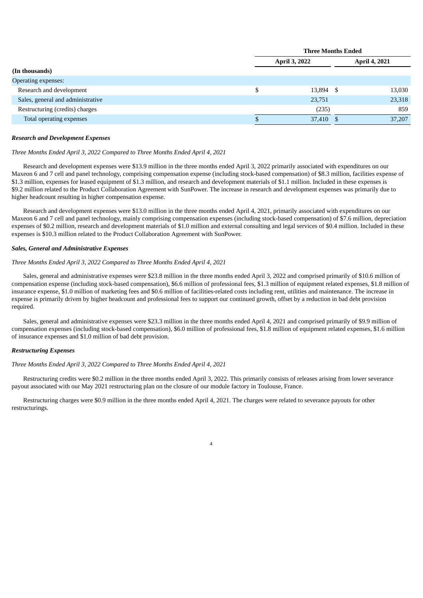|                                   | <b>Three Months Ended</b> |                      |  |                      |
|-----------------------------------|---------------------------|----------------------|--|----------------------|
|                                   |                           | <b>April 3, 2022</b> |  | <b>April 4, 2021</b> |
| (In thousands)                    |                           |                      |  |                      |
| Operating expenses:               |                           |                      |  |                      |
| Research and development          | S                         | 13,894 \$            |  | 13,030               |
| Sales, general and administrative |                           | 23,751               |  | 23,318               |
| Restructuring (credits) charges   |                           | (235)                |  | 859                  |
| Total operating expenses          |                           | 37,410 \$            |  | 37,207               |

#### *Research and Development Expenses*

#### *Three Months Ended April 3, 2022 Compared to Three Months Ended April 4, 2021*

Research and development expenses were \$13.9 million in the three months ended April 3, 2022 primarily associated with expenditures on our Maxeon 6 and 7 cell and panel technology, comprising compensation expense (including stock-based compensation) of \$8.3 million, facilities expense of \$1.3 million, expenses for leased equipment of \$1.3 million, and research and development materials of \$1.1 million. Included in these expenses is \$9.2 million related to the Product Collaboration Agreement with SunPower. The increase in research and development expenses was primarily due to higher headcount resulting in higher compensation expense.

Research and development expenses were \$13.0 million in the three months ended April 4, 2021, primarily associated with expenditures on our Maxeon 6 and 7 cell and panel technology, mainly comprising compensation expenses (including stock-based compensation) of \$7.6 million, depreciation expenses of \$0.2 million, research and development materials of \$1.0 million and external consulting and legal services of \$0.4 million. Included in these expenses is \$10.3 million related to the Product Collaboration Agreement with SunPower.

#### *Sales, General and Administrative Expenses*

#### *Three Months Ended April 3, 2022 Compared to Three Months Ended April 4, 2021*

Sales, general and administrative expenses were \$23.8 million in the three months ended April 3, 2022 and comprised primarily of \$10.6 million of compensation expense (including stock-based compensation), \$6.6 million of professional fees, \$1.3 million of equipment related expenses, \$1.8 million of insurance expense, \$1.0 million of marketing fees and \$0.6 million of facilities-related costs including rent, utilities and maintenance. The increase in expense is primarily driven by higher headcount and professional fees to support our continued growth, offset by a reduction in bad debt provision required.

Sales, general and administrative expenses were \$23.3 million in the three months ended April 4, 2021 and comprised primarily of \$9.9 million of compensation expenses (including stock-based compensation), \$6.0 million of professional fees, \$1.8 million of equipment related expenses, \$1.6 million of insurance expenses and \$1.0 million of bad debt provision.

#### *Restructuring Expenses*

#### *Three Months Ended April 3, 2022 Compared to Three Months Ended April 4, 2021*

Restructuring credits were \$0.2 million in the three months ended April 3, 2022. This primarily consists of releases arising from lower severance payout associated with our May 2021 restructuring plan on the closure of our module factory in Toulouse, France.

Restructuring charges were \$0.9 million in the three months ended April 4, 2021. The charges were related to severance payouts for other restructurings.

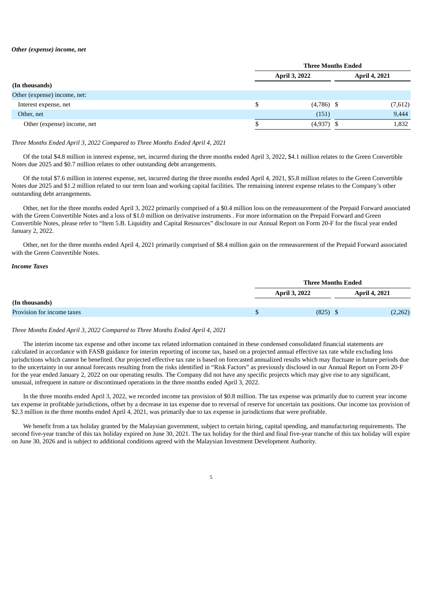#### *Other (expense) income, net*

|                              | <b>Three Months Ended</b> |              |                      |
|------------------------------|---------------------------|--------------|----------------------|
|                              | <b>April 3, 2022</b>      |              | <b>April 4, 2021</b> |
| (In thousands)               |                           |              |                      |
| Other (expense) income, net: |                           |              |                      |
| Interest expense, net        | S                         | $(4,786)$ \$ | (7,612)              |
| Other, net                   |                           | (151)        | 9,444                |
| Other (expense) income, net  |                           | $(4,937)$ \$ | 1,832                |

#### *Three Months Ended April 3, 2022 Compared to Three Months Ended April 4, 2021*

Of the total \$4.8 million in interest expense, net, incurred during the three months ended April 3, 2022, \$4.1 million relates to the Green Convertible Notes due 2025 and \$0.7 million relates to other outstanding debt arrangements.

Of the total \$7.6 million in interest expense, net, incurred during the three months ended April 4, 2021, \$5.8 million relates to the Green Convertible Notes due 2025 and \$1.2 million related to our term loan and working capital facilities. The remaining interest expense relates to the Company's other outstanding debt arrangements.

Other, net for the three months ended April 3, 2022 primarily comprised of a \$0.4 million loss on the remeasurement of the Prepaid Forward associated with the Green Convertible Notes and a loss of \$1.0 million on derivative instruments . For more information on the Prepaid Forward and Green Convertible Notes, please refer to "Item 5.B. Liquidity and Capital Resources" disclosure in our Annual Report on Form 20-F for the fiscal year ended January 2, 2022.

Other, net for the three months ended April 4, 2021 primarily comprised of \$8.4 million gain on the remeasurement of the Prepaid Forward associated with the Green Convertible Notes.

#### *Income Taxes*

|                            | <b>Three Months Ended</b> |                      |  |
|----------------------------|---------------------------|----------------------|--|
|                            | <b>April 3, 2022</b>      | <b>April 4, 2021</b> |  |
| (In thousands)             |                           |                      |  |
| Provision for income taxes | $(825)$ \$                | (2,262)              |  |

#### *Three Months Ended April 3, 2022 Compared to Three Months Ended April 4, 2021*

The interim income tax expense and other income tax related information contained in these condensed consolidated financial statements are calculated in accordance with FASB guidance for interim reporting of income tax, based on a projected annual effective tax rate while excluding loss jurisdictions which cannot be benefited. Our projected effective tax rate is based on forecasted annualized results which may fluctuate in future periods due to the uncertainty in our annual forecasts resulting from the risks identified in "Risk Factors" as previously disclosed in our Annual Report on Form 20-F for the year ended January 2, 2022 on our operating results. The Company did not have any specific projects which may give rise to any significant, unusual, infrequent in nature or discontinued operations in the three months ended April 3, 2022.

In the three months ended April 3, 2022, we recorded income tax provision of \$0.8 million. The tax expense was primarily due to current year income tax expense in profitable jurisdictions, offset by a decrease in tax expense due to reversal of reserve for uncertain tax positions. Our income tax provision of \$2.3 million in the three months ended April 4, 2021, was primarily due to tax expense in jurisdictions that were profitable.

We benefit from a tax holiday granted by the Malaysian government, subject to certain hiring, capital spending, and manufacturing requirements. The second five-year tranche of this tax holiday expired on June 30, 2021. The tax holiday for the third and final five-year tranche of this tax holiday will expire on June 30, 2026 and is subject to additional conditions agreed with the Malaysian Investment Development Authority.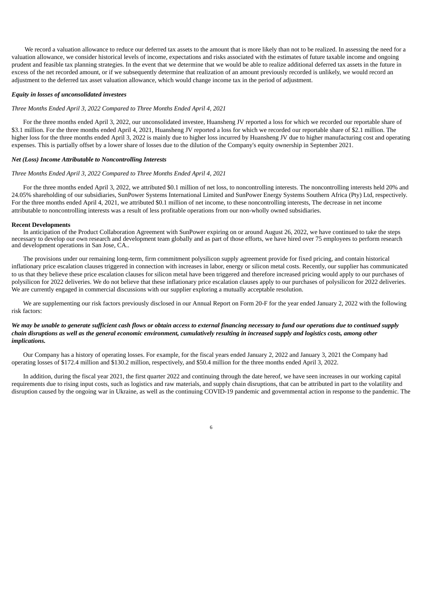We record a valuation allowance to reduce our deferred tax assets to the amount that is more likely than not to be realized. In assessing the need for a valuation allowance, we consider historical levels of income, expectations and risks associated with the estimates of future taxable income and ongoing prudent and feasible tax planning strategies. In the event that we determine that we would be able to realize additional deferred tax assets in the future in excess of the net recorded amount, or if we subsequently determine that realization of an amount previously recorded is unlikely, we would record an adjustment to the deferred tax asset valuation allowance, which would change income tax in the period of adjustment.

#### *Equity in losses of unconsolidated investees*

#### *Three Months Ended April 3, 2022 Compared to Three Months Ended April 4, 2021*

For the three months ended April 3, 2022, our unconsolidated investee, Huansheng JV reported a loss for which we recorded our reportable share of \$3.1 million. For the three months ended April 4, 2021, Huansheng JV reported a loss for which we recorded our reportable share of \$2.1 million. The higher loss for the three months ended April 3, 2022 is mainly due to higher loss incurred by Huansheng JV due to higher manufacturing cost and operating expenses. This is partially offset by a lower share of losses due to the dilution of the Company's equity ownership in September 2021.

#### *Net (Loss) Income Attributable to Noncontrolling Interests*

#### *Three Months Ended April 3, 2022 Compared to Three Months Ended April 4, 2021*

For the three months ended April 3, 2022, we attributed \$0.1 million of net loss, to noncontrolling interests. The noncontrolling interests held 20% and 24.05% shareholding of our subsidiaries, SunPower Systems International Limited and SunPower Energy Systems Southern Africa (Pty) Ltd, respectively. For the three months ended April 4, 2021, we attributed \$0.1 million of net income, to these noncontrolling interests, The decrease in net income attributable to noncontrolling interests was a result of less profitable operations from our non-wholly owned subsidiaries.

#### **Recent Developments**

In anticipation of the Product Collaboration Agreement with SunPower expiring on or around August 26, 2022, we have continued to take the steps necessary to develop our own research and development team globally and as part of those efforts, we have hired over 75 employees to perform research and development operations in San Jose, CA..

The provisions under our remaining long-term, firm commitment polysilicon supply agreement provide for fixed pricing, and contain historical inflationary price escalation clauses triggered in connection with increases in labor, energy or silicon metal costs. Recently, our supplier has communicated to us that they believe these price escalation clauses for silicon metal have been triggered and therefore increased pricing would apply to our purchases of polysilicon for 2022 deliveries. We do not believe that these inflationary price escalation clauses apply to our purchases of polysilicon for 2022 deliveries. We are currently engaged in commercial discussions with our supplier exploring a mutually acceptable resolution.

We are supplementing our risk factors previously disclosed in our Annual Report on Form 20-F for the year ended January 2, 2022 with the following risk factors:

#### We may be unable to generate sufficient cash flows or obtain access to external financing necessary to fund our operations due to continued supply chain disruptions as well as the general economic environment, cumulatively resulting in increased supply and logistics costs, among other *implications.*

Our Company has a history of operating losses. For example, for the fiscal years ended January 2, 2022 and January 3, 2021 the Company had operating losses of \$172.4 million and \$130.2 million, respectively, and \$50.4 million for the three months ended April 3, 2022.

In addition, during the fiscal year 2021, the first quarter 2022 and continuing through the date hereof, we have seen increases in our working capital requirements due to rising input costs, such as logistics and raw materials, and supply chain disruptions, that can be attributed in part to the volatility and disruption caused by the ongoing war in Ukraine, as well as the continuing COVID-19 pandemic and governmental action in response to the pandemic. The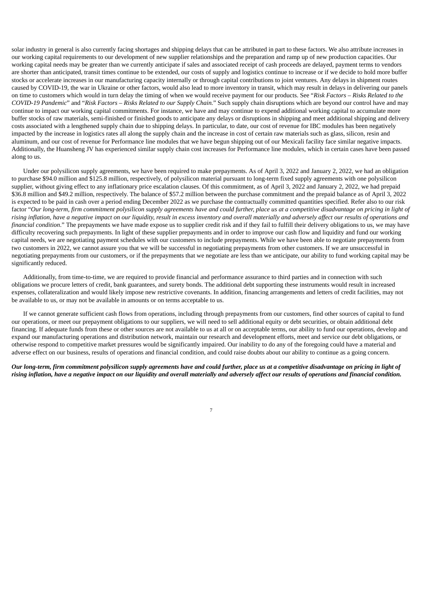solar industry in general is also currently facing shortages and shipping delays that can be attributed in part to these factors. We also attribute increases in our working capital requirements to our development of new supplier relationships and the preparation and ramp up of new production capacities. Our working capital needs may be greater than we currently anticipate if sales and associated receipt of cash proceeds are delayed, payment terms to vendors are shorter than anticipated, transit times continue to be extended, our costs of supply and logistics continue to increase or if we decide to hold more buffer stocks or accelerate increases in our manufacturing capacity internally or through capital contributions to joint ventures. Any delays in shipment routes caused by COVID-19, the war in Ukraine or other factors, would also lead to more inventory in transit, which may result in delays in delivering our panels on time to customers which would in turn delay the timing of when we would receive payment for our products. See "*Risk Factors – Risks Related to the COVID-19 Pandemic*" and "*Risk Factors – Risks Related to our Supply Chain.*" Such supply chain disruptions which are beyond our control have and may continue to impact our working capital commitments. For instance, we have and may continue to expend additional working capital to accumulate more buffer stocks of raw materials, semi-finished or finished goods to anticipate any delays or disruptions in shipping and meet additional shipping and delivery costs associated with a lengthened supply chain due to shipping delays. In particular, to date, our cost of revenue for IBC modules has been negatively impacted by the increase in logistics rates all along the supply chain and the increase in cost of certain raw materials such as glass, silicon, resin and aluminum, and our cost of revenue for Performance line modules that we have begun shipping out of our Mexicali facility face similar negative impacts. Additionally, the Huansheng JV has experienced similar supply chain cost increases for Performance line modules, which in certain cases have been passed along to us.

Under our polysilicon supply agreements, we have been required to make prepayments. As of April 3, 2022 and January 2, 2022, we had an obligation to purchase \$94.0 million and \$125.8 million, respectively, of polysilicon material pursuant to long-term fixed supply agreements with one polysilicon supplier, without giving effect to any inflationary price escalation clauses. Of this commitment, as of April 3, 2022 and January 2, 2022, we had prepaid \$36.8 million and \$49.2 million, respectively. The balance of \$57.2 million between the purchase commitment and the prepaid balance as of April 3, 2022 is expected to be paid in cash over a period ending December 2022 as we purchase the contractually committed quantities specified. Refer also to our risk factor "Our long-term, firm commitment polysilicon supply gareements have and could further, place us at a competitive disadvantage on pricina in light of rising inflation, have a negative impact on our liquidity, result in excess inventory and overall materially and adversely affect our results of operations and *financial condition*." The prepayments we have made expose us to supplier credit risk and if they fail to fulfill their delivery obligations to us, we may have difficulty recovering such prepayments. In light of these supplier prepayments and in order to improve our cash flow and liquidity and fund our working capital needs, we are negotiating payment schedules with our customers to include prepayments. While we have been able to negotiate prepayments from two customers in 2022, we cannot assure you that we will be successful in negotiating prepayments from other customers. If we are unsuccessful in negotiating prepayments from our customers, or if the prepayments that we negotiate are less than we anticipate, our ability to fund working capital may be significantly reduced.

Additionally, from time-to-time, we are required to provide financial and performance assurance to third parties and in connection with such obligations we procure letters of credit, bank guarantees, and surety bonds. The additional debt supporting these instruments would result in increased expenses, collateralization and would likely impose new restrictive covenants. In addition, financing arrangements and letters of credit facilities, may not be available to us, or may not be available in amounts or on terms acceptable to us.

If we cannot generate sufficient cash flows from operations, including through prepayments from our customers, find other sources of capital to fund our operations, or meet our prepayment obligations to our suppliers, we will need to sell additional equity or debt securities, or obtain additional debt financing. If adequate funds from these or other sources are not available to us at all or on acceptable terms, our ability to fund our operations, develop and expand our manufacturing operations and distribution network, maintain our research and development efforts, meet and service our debt obligations, or otherwise respond to competitive market pressures would be significantly impaired. Our inability to do any of the foregoing could have a material and adverse effect on our business, results of operations and financial condition, and could raise doubts about our ability to continue as a going concern.

Our long-term, firm commitment polysilicon supply agreements have and could further, place us at a competitive disadvantage on pricing in light of rising inflation, have a negative impact on our liquidity and overall materially and adversely affect our results of operations and financial condition.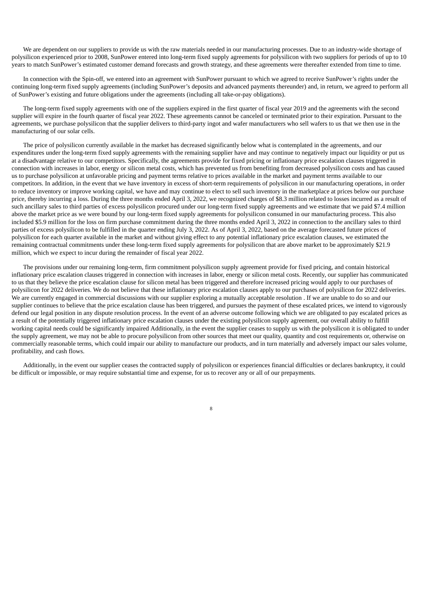We are dependent on our suppliers to provide us with the raw materials needed in our manufacturing processes. Due to an industry-wide shortage of polysilicon experienced prior to 2008, SunPower entered into long-term fixed supply agreements for polysilicon with two suppliers for periods of up to 10 years to match SunPower's estimated customer demand forecasts and growth strategy, and these agreements were thereafter extended from time to time.

In connection with the Spin-off, we entered into an agreement with SunPower pursuant to which we agreed to receive SunPower's rights under the continuing long-term fixed supply agreements (including SunPower's deposits and advanced payments thereunder) and, in return, we agreed to perform all of SunPower's existing and future obligations under the agreements (including all take-or-pay obligations).

The long-term fixed supply agreements with one of the suppliers expired in the first quarter of fiscal year 2019 and the agreements with the second supplier will expire in the fourth quarter of fiscal year 2022. These agreements cannot be canceled or terminated prior to their expiration. Pursuant to the agreements, we purchase polysilicon that the supplier delivers to third-party ingot and wafer manufacturers who sell wafers to us that we then use in the manufacturing of our solar cells.

The price of polysilicon currently available in the market has decreased significantly below what is contemplated in the agreements, and our expenditures under the long-term fixed supply agreements with the remaining supplier have and may continue to negatively impact our liquidity or put us at a disadvantage relative to our competitors. Specifically, the agreements provide for fixed pricing or inflationary price escalation clauses triggered in connection with increases in labor, energy or silicon metal costs, which has prevented us from benefiting from decreased polysilicon costs and has caused us to purchase polysilicon at unfavorable pricing and payment terms relative to prices available in the market and payment terms available to our competitors. In addition, in the event that we have inventory in excess of short-term requirements of polysilicon in our manufacturing operations, in order to reduce inventory or improve working capital, we have and may continue to elect to sell such inventory in the marketplace at prices below our purchase price, thereby incurring a loss. During the three months ended April 3, 2022, we recognized charges of \$8.3 million related to losses incurred as a result of such ancillary sales to third parties of excess polysilicon procured under our long-term fixed supply agreements and we estimate that we paid \$7.4 million above the market price as we were bound by our long-term fixed supply agreements for polysilicon consumed in our manufacturing process. This also included \$5.9 million for the loss on firm purchase commitment during the three months ended April 3, 2022 in connection to the ancillary sales to third parties of excess polysilicon to be fulfilled in the quarter ending July 3, 2022. As of April 3, 2022, based on the average forecasted future prices of polysilicon for each quarter available in the market and without giving effect to any potential inflationary price escalation clauses, we estimated the remaining contractual commitments under these long-term fixed supply agreements for polysilicon that are above market to be approximately \$21.9 million, which we expect to incur during the remainder of fiscal year 2022.

The provisions under our remaining long-term, firm commitment polysilicon supply agreement provide for fixed pricing, and contain historical inflationary price escalation clauses triggered in connection with increases in labor, energy or silicon metal costs. Recently, our supplier has communicated to us that they believe the price escalation clause for silicon metal has been triggered and therefore increased pricing would apply to our purchases of polysilicon for 2022 deliveries. We do not believe that these inflationary price escalation clauses apply to our purchases of polysilicon for 2022 deliveries. We are currently engaged in commercial discussions with our supplier exploring a mutually acceptable resolution . If we are unable to do so and our supplier continues to believe that the price escalation clause has been triggered, and pursues the payment of these escalated prices, we intend to vigorously defend our legal position in any dispute resolution process. In the event of an adverse outcome following which we are obligated to pay escalated prices as a result of the potentially triggered inflationary price escalation clauses under the existing polysilicon supply agreement, our overall ability to fulfill working capital needs could be significantly impaired Additionally, in the event the supplier ceases to supply us with the polysilicon it is obligated to under the supply agreement, we may not be able to procure polysilicon from other sources that meet our quality, quantity and cost requirements or, otherwise on commercially reasonable terms, which could impair our ability to manufacture our products, and in turn materially and adversely impact our sales volume, profitability, and cash flows.

Additionally, in the event our supplier ceases the contracted supply of polysilicon or experiences financial difficulties or declares bankruptcy, it could be difficult or impossible, or may require substantial time and expense, for us to recover any or all of our prepayments.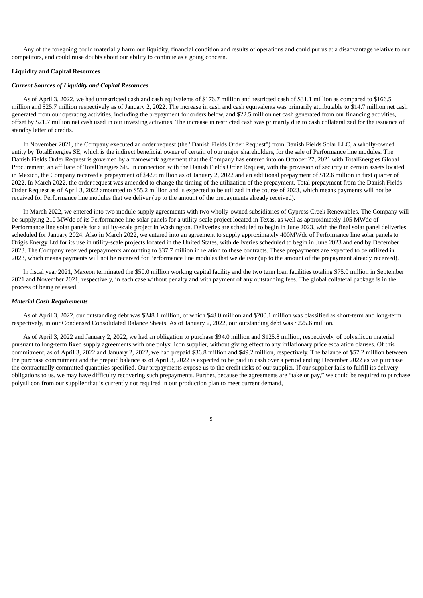Any of the foregoing could materially harm our liquidity, financial condition and results of operations and could put us at a disadvantage relative to our competitors, and could raise doubts about our ability to continue as a going concern.

#### **Liquidity and Capital Resources**

#### *Current Sources of Liquidity and Capital Resources*

As of April 3, 2022, we had unrestricted cash and cash equivalents of \$176.7 million and restricted cash of \$31.1 million as compared to \$166.5 million and \$25.7 million respectively as of January 2, 2022. The increase in cash and cash equivalents was primarily attributable to \$14.7 million net cash generated from our operating activities, including the prepayment for orders below, and \$22.5 million net cash generated from our financing activities, offset by \$21.7 million net cash used in our investing activities. The increase in restricted cash was primarily due to cash collateralized for the issuance of standby letter of credits.

In November 2021, the Company executed an order request (the "Danish Fields Order Request") from Danish Fields Solar LLC, a wholly-owned entity by TotalEnergies SE, which is the indirect beneficial owner of certain of our major shareholders, for the sale of Performance line modules. The Danish Fields Order Request is governed by a framework agreement that the Company has entered into on October 27, 2021 with TotalEnergies Global Procurement, an affiliate of TotalEnergies SE. In connection with the Danish Fields Order Request, with the provision of security in certain assets located in Mexico, the Company received a prepayment of \$42.6 million as of January 2, 2022 and an additional prepayment of \$12.6 million in first quarter of 2022. In March 2022, the order request was amended to change the timing of the utilization of the prepayment. Total prepayment from the Danish Fields Order Request as of April 3, 2022 amounted to \$55.2 million and is expected to be utilized in the course of 2023, which means payments will not be received for Performance line modules that we deliver (up to the amount of the prepayments already received).

In March 2022, we entered into two module supply agreements with two wholly-owned subsidiaries of Cypress Creek Renewables. The Company will be supplying 210 MWdc of its Performance line solar panels for a utility-scale project located in Texas, as well as approximately 105 MWdc of Performance line solar panels for a utility-scale project in Washington. Deliveries are scheduled to begin in June 2023, with the final solar panel deliveries scheduled for January 2024. Also in March 2022, we entered into an agreement to supply approximately 400MWdc of Performance line solar panels to Origis Energy Ltd for its use in utility-scale projects located in the United States, with deliveries scheduled to begin in June 2023 and end by December 2023. The Company received prepayments amounting to \$37.7 million in relation to these contracts. These prepayments are expected to be utilized in 2023, which means payments will not be received for Performance line modules that we deliver (up to the amount of the prepayment already received).

In fiscal year 2021, Maxeon terminated the \$50.0 million working capital facility and the two term loan facilities totaling \$75.0 million in September 2021 and November 2021, respectively, in each case without penalty and with payment of any outstanding fees. The global collateral package is in the process of being released.

#### *Material Cash Requirements*

As of April 3, 2022, our outstanding debt was \$248.1 million, of which \$48.0 million and \$200.1 million was classified as short-term and long-term respectively, in our Condensed Consolidated Balance Sheets. As of January 2, 2022, our outstanding debt was \$225.6 million.

As of April 3, 2022 and January 2, 2022, we had an obligation to purchase \$94.0 million and \$125.8 million, respectively, of polysilicon material pursuant to long-term fixed supply agreements with one polysilicon supplier, without giving effect to any inflationary price escalation clauses. Of this commitment, as of April 3, 2022 and January 2, 2022, we had prepaid \$36.8 million and \$49.2 million, respectively. The balance of \$57.2 million between the purchase commitment and the prepaid balance as of April 3, 2022 is expected to be paid in cash over a period ending December 2022 as we purchase the contractually committed quantities specified. Our prepayments expose us to the credit risks of our supplier. If our supplier fails to fulfill its delivery obligations to us, we may have difficulty recovering such prepayments. Further, because the agreements are "take or pay," we could be required to purchase polysilicon from our supplier that is currently not required in our production plan to meet current demand,

 $\overline{9}$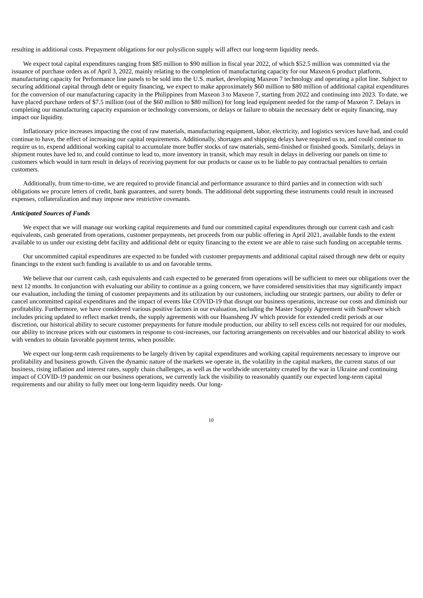resulting in additional costs. Prepayment obligations for our polysilicon supply will affect our long-term liquidity needs.

We expect total capital expenditures ranging from \$85 million to \$90 million in fiscal year 2022, of which \$52.5 million was committed via the issuance of purchase orders as of April 3, 2022, mainly relating to the completion of manufacturing capacity for our Maxeon 6 product platform, manufacturing capacity for Performance line panels to be sold into the U.S. market, developing Maxeon 7 technology and operating a pilot line. Subject to securing additional capital through debt or equity financing, we expect to make approximately \$60 million to \$80 million of additional capital expenditures for the conversion of our manufacturing capacity in the Philippines from Maxeon 3 to Maxeon 7, starting from 2022 and continuing into 2023. To date, we have placed purchase orders of \$7.5 million (out of the \$60 million to \$80 million) for long lead equipment needed for the ramp of Maxeon 7. Delays in completing our manufacturing capacity expansion or technology conversions, or delays or failure to obtain the necessary debt or equity financing, may impact our liquidity.

Inflationary price increases impacting the cost of raw materials, manufacturing equipment, labor, electricity, and logistics services have had, and could continue to have, the effect of increasing our capital requirements. Additionally, shortages and shipping delays have required us to, and could continue to require us to, expend additional working capital to accumulate more buffer stocks of raw materials, semi-finished or finished goods. Similarly, delays in shipment routes have led to, and could continue to lead to, more inventory in transit, which may result in delays in delivering our panels on time to customers which would in turn result in delays of receiving payment for our products or cause us to be liable to pay contractual penalties to certain customers.

Additionally, from time-to-time, we are required to provide financial and performance assurance to third parties and in connection with such obligations we procure letters of credit, bank guarantees, and surety bonds. The additional debt supporting these instruments could result in increased expenses, collateralization and may impose new restrictive covenants.

#### *Anticipated Sources of Funds*

We expect that we will manage our working capital requirements and fund our committed capital expenditures through our current cash and cash equivalents, cash generated from operations, customer prepayments, net proceeds from our public offering in April 2021, available funds to the extent available to us under our existing debt facility and additional debt or equity financing to the extent we are able to raise such funding on acceptable terms.

Our uncommitted capital expenditures are expected to be funded with customer prepayments and additional capital raised through new debt or equity financings to the extent such funding is available to us and on favorable terms.

We believe that our current cash, cash equivalents and cash expected to be generated from operations will be sufficient to meet our obligations over the next 12 months. In conjunction with evaluating our ability to continue as a going concern, we have considered sensitivities that may significantly impact our evaluation, including the timing of customer prepayments and its utilization by our customers, including our strategic partners, our ability to defer or cancel uncommitted capital expenditures and the impact of events like COVID-19 that disrupt our business operations, increase our costs and diminish our profitability. Furthermore, we have considered various positive factors in our evaluation, including the Master Supply Agreement with SunPower which includes pricing updated to reflect market trends, the supply agreements with our Huansheng JV which provide for extended credit periods at our discretion, our historical ability to secure customer prepayments for future module production, our ability to sell excess cells not required for our modules, our ability to increase prices with our customers in response to cost-increases, our factoring arrangements on receivables and our historical ability to work with vendors to obtain favorable payment terms, when possible.

We expect our long-term cash requirements to be largely driven by capital expenditures and working capital requirements necessary to improve our profitability and business growth. Given the dynamic nature of the markets we operate in, the volatility in the capital markets, the current status of our business, rising inflation and interest rates, supply chain challenges, as well as the worldwide uncertainty created by the war in Ukraine and continuing impact of COVID-19 pandemic on our business operations, we currently lack the visibility to reasonably quantify our expected long-term capital requirements and our ability to fully meet our long-term liquidity needs. Our long-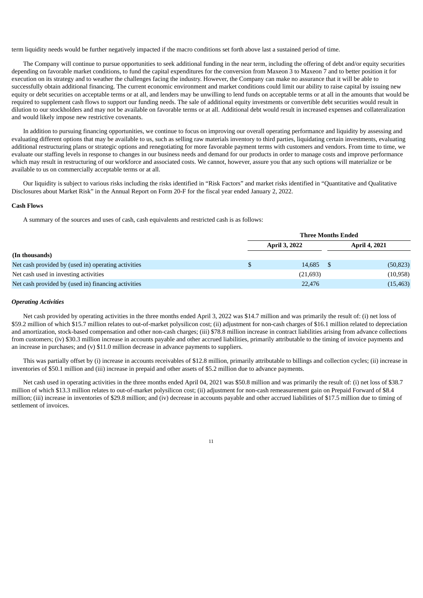term liquidity needs would be further negatively impacted if the macro conditions set forth above last a sustained period of time.

The Company will continue to pursue opportunities to seek additional funding in the near term, including the offering of debt and/or equity securities depending on favorable market conditions, to fund the capital expenditures for the conversion from Maxeon 3 to Maxeon 7 and to better position it for execution on its strategy and to weather the challenges facing the industry. However, the Company can make no assurance that it will be able to successfully obtain additional financing. The current economic environment and market conditions could limit our ability to raise capital by issuing new equity or debt securities on acceptable terms or at all, and lenders may be unwilling to lend funds on acceptable terms or at all in the amounts that would be required to supplement cash flows to support our funding needs. The sale of additional equity investments or convertible debt securities would result in dilution to our stockholders and may not be available on favorable terms or at all. Additional debt would result in increased expenses and collateralization and would likely impose new restrictive covenants.

In addition to pursuing financing opportunities, we continue to focus on improving our overall operating performance and liquidity by assessing and evaluating different options that may be available to us, such as selling raw materials inventory to third parties, liquidating certain investments, evaluating additional restructuring plans or strategic options and renegotiating for more favorable payment terms with customers and vendors. From time to time, we evaluate our staffing levels in response to changes in our business needs and demand for our products in order to manage costs and improve performance which may result in restructuring of our workforce and associated costs. We cannot, however, assure you that any such options will materialize or be available to us on commercially acceptable terms or at all.

Our liquidity is subject to various risks including the risks identified in "Risk Factors" and market risks identified in "Quantitative and Qualitative Disclosures about Market Risk" in the Annual Report on Form 20-F for the fiscal year ended January 2, 2022.

#### **Cash Flows**

A summary of the sources and uses of cash, cash equivalents and restricted cash is as follows:

|                                                     | <b>Three Months Ended</b> |  |                      |  |
|-----------------------------------------------------|---------------------------|--|----------------------|--|
|                                                     | <b>April 3, 2022</b>      |  | <b>April 4, 2021</b> |  |
| (In thousands)                                      |                           |  |                      |  |
| Net cash provided by (used in) operating activities | 14.685                    |  | (50, 823)            |  |
| Net cash used in investing activities               | (21,693)                  |  | (10, 958)            |  |
| Net cash provided by (used in) financing activities | 22,476                    |  | (15, 463)            |  |

#### *Operating Activities*

Net cash provided by operating activities in the three months ended April 3, 2022 was \$14.7 million and was primarily the result of: (i) net loss of \$59.2 million of which \$15.7 million relates to out-of-market polysilicon cost; (ii) adjustment for non-cash charges of \$16.1 million related to depreciation and amortization, stock-based compensation and other non-cash charges; (iii) \$78.8 million increase in contract liabilities arising from advance collections from customers; (iv) \$30.3 million increase in accounts payable and other accrued liabilities, primarily attributable to the timing of invoice payments and an increase in purchases; and (v) \$11.0 million decrease in advance payments to suppliers.

This was partially offset by (i) increase in accounts receivables of \$12.8 million, primarily attributable to billings and collection cycles; (ii) increase in inventories of \$50.1 million and (iii) increase in prepaid and other assets of \$5.2 million due to advance payments.

Net cash used in operating activities in the three months ended April 04, 2021 was \$50.8 million and was primarily the result of: (i) net loss of \$38.7 million of which \$13.3 million relates to out-of-market polysilicon cost; (ii) adjustment for non-cash remeasurement gain on Prepaid Forward of \$8.4 million; (iii) increase in inventories of \$29.8 million; and (iv) decrease in accounts payable and other accrued liabilities of \$17.5 million due to timing of settlement of invoices.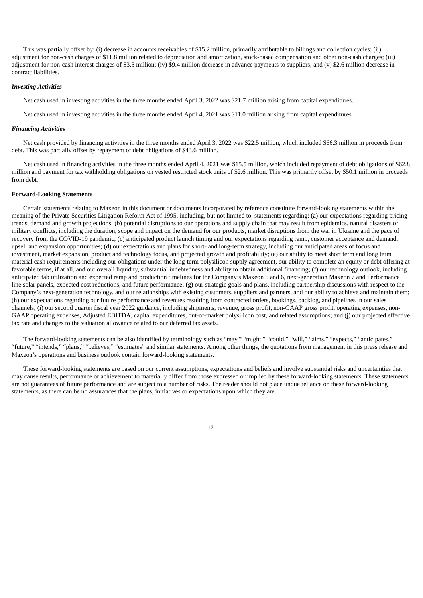This was partially offset by: (i) decrease in accounts receivables of \$15.2 million, primarily attributable to billings and collection cycles; (ii) adjustment for non-cash charges of \$11.8 million related to depreciation and amortization, stock-based compensation and other non-cash charges; (iii) adjustment for non-cash interest charges of \$3.5 million; (iv) \$9.4 million decrease in advance payments to suppliers; and (v) \$2.6 million decrease in contract liabilities.

#### *Investing Activities*

Net cash used in investing activities in the three months ended April 3, 2022 was \$21.7 million arising from capital expenditures.

Net cash used in investing activities in the three months ended April 4, 2021 was \$11.0 million arising from capital expenditures.

#### *Financing Activities*

Net cash provided by financing activities in the three months ended April 3, 2022 was \$22.5 million, which included \$66.3 million in proceeds from debt. This was partially offset by repayment of debt obligations of \$43.6 million.

Net cash used in financing activities in the three months ended April 4, 2021 was \$15.5 million, which included repayment of debt obligations of \$62.8 million and payment for tax withholding obligations on vested restricted stock units of \$2.6 million. This was primarily offset by \$50.1 million in proceeds from debt.

#### **Forward-Looking Statements**

Certain statements relating to Maxeon in this document or documents incorporated by reference constitute forward-looking statements within the meaning of the Private Securities Litigation Reform Act of 1995, including, but not limited to, statements regarding: (a) our expectations regarding pricing trends, demand and growth projections; (b) potential disruptions to our operations and supply chain that may result from epidemics, natural disasters or military conflicts, including the duration, scope and impact on the demand for our products, market disruptions from the war in Ukraine and the pace of recovery from the COVID-19 pandemic; (c) anticipated product launch timing and our expectations regarding ramp, customer acceptance and demand, upsell and expansion opportunities; (d) our expectations and plans for short- and long-term strategy, including our anticipated areas of focus and investment, market expansion, product and technology focus, and projected growth and profitability; (e) our ability to meet short term and long term material cash requirements including our obligations under the long-term polysilicon supply agreement, our ability to complete an equity or debt offering at favorable terms, if at all, and our overall liquidity, substantial indebtedness and ability to obtain additional financing; (f) our technology outlook, including anticipated fab utilization and expected ramp and production timelines for the Company's Maxeon 5 and 6, next-generation Maxeon 7 and Performance line solar panels, expected cost reductions, and future performance; (g) our strategic goals and plans, including partnership discussions with respect to the Company's next-generation technology, and our relationships with existing customers, suppliers and partners, and our ability to achieve and maintain them; (h) our expectations regarding our future performance and revenues resulting from contracted orders, bookings, backlog, and pipelines in our sales channels; (i) our second quarter fiscal year 2022 guidance, including shipments, revenue, gross profit, non-GAAP gross profit, operating expenses, non-GAAP operating expenses, Adjusted EBITDA, capital expenditures, out-of-market polysilicon cost, and related assumptions; and (j) our projected effective tax rate and changes to the valuation allowance related to our deferred tax assets.

The forward-looking statements can be also identified by terminology such as "may," "might," "could," "will," "aims," "expects," "anticipates," "future," "intends," "plans," "believes," "estimates" and similar statements. Among other things, the quotations from management in this press release and Maxeon's operations and business outlook contain forward-looking statements.

These forward-looking statements are based on our current assumptions, expectations and beliefs and involve substantial risks and uncertainties that may cause results, performance or achievement to materially differ from those expressed or implied by these forward-looking statements. These statements are not guarantees of future performance and are subject to a number of risks. The reader should not place undue reliance on these forward-looking statements, as there can be no assurances that the plans, initiatives or expectations upon which they are